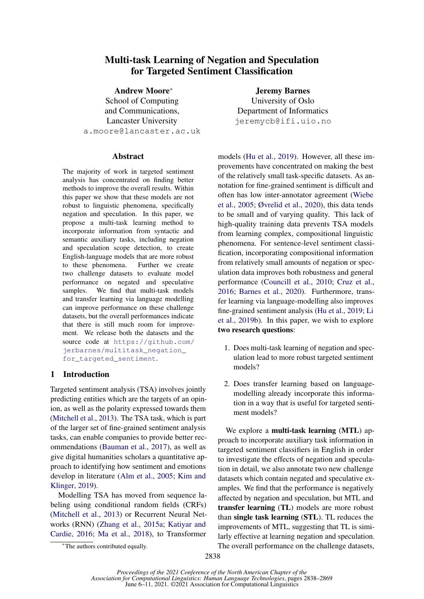### Multi-task Learning of Negation and Speculation for Targeted Sentiment Classification

Andrew Moore<sup>∗</sup> School of Computing and Communications, Lancaster University a.moore@lancaster.ac.uk

#### Abstract

The majority of work in targeted sentiment analysis has concentrated on finding better methods to improve the overall results. Within this paper we show that these models are not robust to linguistic phenomena, specifically negation and speculation. In this paper, we propose a multi-task learning method to incorporate information from syntactic and semantic auxiliary tasks, including negation and speculation scope detection, to create English-language models that are more robust to these phenomena. Further we create two challenge datasets to evaluate model performance on negated and speculative samples. We find that multi-task models and transfer learning via language modelling can improve performance on these challenge datasets, but the overall performances indicate that there is still much room for improvement. We release both the datasets and the source code at [https://github.com/](https://github.com/jerbarnes/multitask_negation_for_targeted_sentiment) [jerbarnes/multitask\\_negation\\_](https://github.com/jerbarnes/multitask_negation_for_targeted_sentiment) [for\\_targeted\\_sentiment](https://github.com/jerbarnes/multitask_negation_for_targeted_sentiment).

### 1 Introduction

Targeted sentiment analysis (TSA) involves jointly predicting entities which are the targets of an opinion, as well as the polarity expressed towards them [\(Mitchell et al.,](#page-10-0) [2013\)](#page-10-0). The TSA task, which is part of the larger set of fine-grained sentiment analysis tasks, can enable companies to provide better recommendations [\(Bauman et al.,](#page-8-0) [2017\)](#page-8-0), as well as give digital humanities scholars a quantitative approach to identifying how sentiment and emotions develop in literature [\(Alm et al.,](#page-8-1) [2005;](#page-8-1) [Kim and](#page-9-0) [Klinger,](#page-9-0) [2019\)](#page-9-0).

Modelling TSA has moved from sequence labeling using conditional random fields (CRFs) [\(Mitchell et al.,](#page-10-0) [2013\)](#page-10-0) or Recurrent Neural Networks (RNN) [\(Zhang et al.,](#page-11-0) [2015a;](#page-11-0) [Katiyar and](#page-9-1) [Cardie,](#page-9-1) [2016;](#page-9-1) [Ma et al.,](#page-10-1) [2018\)](#page-10-1), to Transformer

<sup>∗</sup>The authors contributed equally.

Jeremy Barnes University of Oslo Department of Informatics jeremycb@ifi.uio.no

models [\(Hu et al.,](#page-9-2) [2019\)](#page-9-2). However, all these improvements have concentrated on making the best of the relatively small task-specific datasets. As annotation for fine-grained sentiment is difficult and often has low inter-annotator agreement [\(Wiebe](#page-11-1) [et al.,](#page-11-1) [2005;](#page-11-1) [Øvrelid et al.,](#page-10-2) [2020\)](#page-10-2), this data tends to be small and of varying quality. This lack of high-quality training data prevents TSA models from learning complex, compositional linguistic phenomena. For sentence-level sentiment classification, incorporating compositional information from relatively small amounts of negation or speculation data improves both robustness and general performance [\(Councill et al.,](#page-8-2) [2010;](#page-8-2) [Cruz et al.,](#page-8-3) [2016;](#page-8-3) [Barnes et al.,](#page-8-4) [2020\)](#page-8-4). Furthermore, transfer learning via language-modelling also improves fine-grained sentiment analysis [\(Hu et al.,](#page-9-2) [2019;](#page-9-2) [Li](#page-9-3) [et al.,](#page-9-3) [2019b\)](#page-9-3). In this paper, we wish to explore two research questions:

- 1. Does multi-task learning of negation and speculation lead to more robust targeted sentiment models?
- 2. Does transfer learning based on languagemodelling already incorporate this information in a way that is useful for targeted sentiment models?

We explore a **multi-task learning** (MTL) approach to incorporate auxiliary task information in targeted sentiment classifiers in English in order to investigate the effects of negation and speculation in detail, we also annotate two new challenge datasets which contain negated and speculative examples. We find that the performance is negatively affected by negation and speculation, but MTL and transfer learning (TL) models are more robust than single task learning (STL). TL reduces the improvements of MTL, suggesting that TL is similarly effective at learning negation and speculation. The overall performance on the challenge datasets,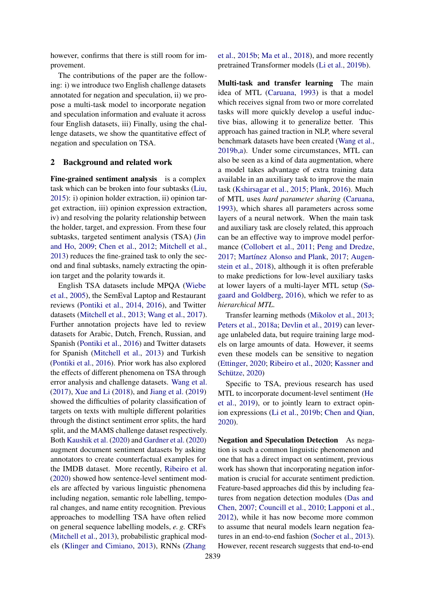however, confirms that there is still room for improvement.

The contributions of the paper are the following: i) we introduce two English challenge datasets annotated for negation and speculation, ii) we propose a multi-task model to incorporate negation and speculation information and evaluate it across four English datasets, iii) Finally, using the challenge datasets, we show the quantitative effect of negation and speculation on TSA.

#### 2 Background and related work

Fine-grained sentiment analysis is a complex task which can be broken into four subtasks [\(Liu,](#page-10-3) [2015\)](#page-10-3): i) opinion holder extraction, ii) opinion target extraction, iii) opinion expression extraction, iv) and resolving the polarity relationship between the holder, target, and expression. From these four subtasks, targeted sentiment analysis (TSA) [\(Jin](#page-9-4) [and Ho,](#page-9-4) [2009;](#page-9-4) [Chen et al.,](#page-8-5) [2012;](#page-8-5) [Mitchell et al.,](#page-10-0) [2013\)](#page-10-0) reduces the fine-grained task to only the second and final subtasks, namely extracting the opinion target and the polarity towards it.

English TSA datasets include MPQA [\(Wiebe](#page-11-1) [et al.,](#page-11-1) [2005\)](#page-11-1), the SemEval Laptop and Restaurant reviews [\(Pontiki et al.,](#page-10-4) [2014,](#page-10-4) [2016\)](#page-10-5), and Twitter datasets [\(Mitchell et al.,](#page-10-0) [2013;](#page-10-0) [Wang et al.,](#page-11-2) [2017\)](#page-11-2). Further annotation projects have led to review datasets for Arabic, Dutch, French, Russian, and Spanish [\(Pontiki et al.,](#page-10-5) [2016\)](#page-10-5) and Twitter datasets for Spanish [\(Mitchell et al.,](#page-10-0) [2013\)](#page-10-0) and Turkish [\(Pontiki et al.,](#page-10-5) [2016\)](#page-10-5). Prior work has also explored the effects of different phenomena on TSA through error analysis and challenge datasets. [Wang et al.](#page-11-2) [\(2017\)](#page-11-2), [Xue and Li](#page-11-3) [\(2018\)](#page-11-3), and [Jiang et al.](#page-9-5) [\(2019\)](#page-9-5) showed the difficulties of polarity classification of targets on texts with multiple different polarities through the distinct sentiment error splits, the hard split, and the MAMS challenge dataset respectively. Both [Kaushik et al.](#page-9-6) [\(2020\)](#page-9-6) and [Gardner et al.](#page-9-7) [\(2020\)](#page-9-7) augment document sentiment datasets by asking annotators to create counterfactual examples for the IMDB dataset. More recently, [Ribeiro et al.](#page-11-4) [\(2020\)](#page-11-4) showed how sentence-level sentiment models are affected by various linguistic phenomena including negation, semantic role labelling, temporal changes, and name entity recognition. Previous approaches to modelling TSA have often relied on general sequence labelling models, *e. g.* CRFs [\(Mitchell et al.,](#page-10-0) [2013\)](#page-10-0), probabilistic graphical models [\(Klinger and Cimiano,](#page-9-8) [2013\)](#page-9-8), RNNs [\(Zhang](#page-11-5)

[et al.,](#page-11-5) [2015b;](#page-11-5) [Ma et al.,](#page-10-1) [2018\)](#page-10-1), and more recently pretrained Transformer models [\(Li et al.,](#page-9-3) [2019b\)](#page-9-3).

Multi-task and transfer learning The main idea of MTL [\(Caruana,](#page-8-6) [1993\)](#page-8-6) is that a model which receives signal from two or more correlated tasks will more quickly develop a useful inductive bias, allowing it to generalize better. This approach has gained traction in NLP, where several benchmark datasets have been created [\(Wang et al.,](#page-11-6) [2019b,](#page-11-6)[a\)](#page-11-7). Under some circumstances, MTL can also be seen as a kind of data augmentation, where a model takes advantage of extra training data available in an auxiliary task to improve the main task [\(Kshirsagar et al.,](#page-9-9) [2015;](#page-9-9) [Plank,](#page-10-6) [2016\)](#page-10-6). Much of MTL uses *hard parameter sharing* [\(Caruana,](#page-8-6) [1993\)](#page-8-6), which shares all parameters across some layers of a neural network. When the main task and auxiliary task are closely related, this approach can be an effective way to improve model performance [\(Collobert et al.,](#page-8-7) [2011;](#page-8-7) [Peng and Dredze,](#page-10-7) [2017;](#page-10-7) [Martínez Alonso and Plank,](#page-10-8) [2017;](#page-10-8) [Augen](#page-8-8)[stein et al.,](#page-8-8) [2018\)](#page-8-8), although it is often preferable to make predictions for low-level auxiliary tasks at lower layers of a multi-layer MTL setup [\(Sø](#page-11-8)[gaard and Goldberg,](#page-11-8) [2016\)](#page-11-8), which we refer to as *hierarchical MTL*.

Transfer learning methods [\(Mikolov et al.,](#page-10-9) [2013;](#page-10-9) [Peters et al.,](#page-10-10) [2018a;](#page-10-10) [Devlin et al.,](#page-8-9) [2019\)](#page-8-9) can leverage unlabeled data, but require training large models on large amounts of data. However, it seems even these models can be sensitive to negation [\(Ettinger,](#page-9-10) [2020;](#page-9-10) [Ribeiro et al.,](#page-11-4) [2020;](#page-11-4) [Kassner and](#page-9-11) [Schütze,](#page-9-11) [2020\)](#page-9-11)

Specific to TSA, previous research has used MTL to incorporate document-level sentiment [\(He](#page-9-12) [et al.,](#page-9-12) [2019\)](#page-9-12), or to jointly learn to extract opinion expressions [\(Li et al.,](#page-9-3) [2019b;](#page-9-3) [Chen and Qian,](#page-8-10) [2020\)](#page-8-10).

Negation and Speculation Detection As negation is such a common linguistic phenomenon and one that has a direct impact on sentiment, previous work has shown that incorporating negation information is crucial for accurate sentiment prediction. Feature-based approaches did this by including features from negation detection modules [\(Das and](#page-8-11) [Chen,](#page-8-11) [2007;](#page-8-11) [Councill et al.,](#page-8-2) [2010;](#page-8-2) [Lapponi et al.,](#page-9-13) [2012\)](#page-9-13), while it has now become more common to assume that neural models learn negation features in an end-to-end fashion [\(Socher et al.,](#page-11-9) [2013\)](#page-11-9). However, recent research suggests that end-to-end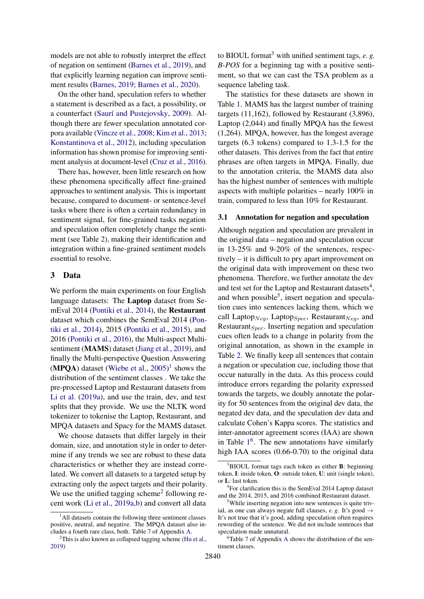models are not able to robustly interpret the effect of negation on sentiment [\(Barnes et al.,](#page-8-12) [2019\)](#page-8-12), and that explicitly learning negation can improve sentiment results [\(Barnes,](#page-8-13) [2019;](#page-8-13) [Barnes et al.,](#page-8-4) [2020\)](#page-8-4).

On the other hand, speculation refers to whether a statement is described as a fact, a possibility, or a counterfact [\(Saurí and Pustejovsky,](#page-11-10) [2009\)](#page-11-10). Although there are fewer speculation annotated corpora available [\(Vincze et al.,](#page-11-11) [2008;](#page-11-11) [Kim et al.,](#page-9-14) [2013;](#page-9-14) [Konstantinova et al.,](#page-9-15) [2012\)](#page-9-15), including speculation information has shown promise for improving sentiment analysis at document-level [\(Cruz et al.,](#page-8-3) [2016\)](#page-8-3).

There has, however, been little research on how these phenomena specifically affect fine-grained approaches to sentiment analysis. This is important because, compared to document- or sentence-level tasks where there is often a certain redundancy in sentiment signal, for fine-grained tasks negation and speculation often completely change the sentiment (see Table [2\)](#page-4-0), making their identification and integration within a fine-grained sentiment models essential to resolve.

#### 3 Data

We perform the main experiments on four English language datasets: The Laptop dataset from SemEval 2014 [\(Pontiki et al.,](#page-10-4) [2014\)](#page-10-4), the Restaurant dataset which combines the SemEval 2014 [\(Pon](#page-10-4)[tiki et al.,](#page-10-4) [2014\)](#page-10-4), 2015 [\(Pontiki et al.,](#page-10-11) [2015\)](#page-10-11), and 2016 [\(Pontiki et al.,](#page-10-5) [2016\)](#page-10-5), the Multi-aspect Multisentiment (MAMS) dataset [\(Jiang et al.,](#page-9-5) [2019\)](#page-9-5), and finally the Multi-perspective Question Answering  $(MPQA)$  dataset [\(Wiebe et al.,](#page-11-1) [2005\)](#page-11-1)<sup>[1](#page-2-0)</sup> shows the distribution of the sentiment classes . We take the pre-processed Laptop and Restaurant datasets from [Li et al.](#page-9-16) [\(2019a\)](#page-9-16), and use the train, dev, and test splits that they provide. We use the NLTK word tokenizer to tokenise the Laptop, Restaurant, and MPQA datasets and Spacy for the MAMS dataset.

We choose datasets that differ largely in their domain, size, and annotation style in order to determine if any trends we see are robust to these data characteristics or whether they are instead correlated. We convert all datasets to a targeted setup by extracting only the aspect targets and their polarity. We use the unified tagging scheme<sup>[2](#page-2-1)</sup> following recent work [\(Li et al.,](#page-9-16) [2019a,](#page-9-16)[b\)](#page-9-3) and convert all data

to BIOUL format<sup>[3](#page-2-2)</sup> with unified sentiment tags,  $e$ ,  $g$ . *B-POS* for a beginning tag with a positive sentiment, so that we can cast the TSA problem as a sequence labeling task.

The statistics for these datasets are shown in Table [1.](#page-3-0) MAMS has the largest number of training targets (11,162), followed by Restaurant (3,896), Laptop (2,044) and finally MPQA has the fewest (1,264). MPQA, however, has the longest average targets (6.3 tokens) compared to 1.3-1.5 for the other datasets. This derives from the fact that entire phrases are often targets in MPQA. Finally, due to the annotation criteria, the MAMS data also has the highest number of sentences with multiple aspects with multiple polarities – nearly 100% in train, compared to less than 10% for Restaurant.

#### 3.1 Annotation for negation and speculation

Although negation and speculation are prevalent in the original data – negation and speculation occur in 13-25% and 9-20% of the sentences, respectively – it is difficult to pry apart improvement on the original data with improvement on these two phenomena. Therefore, we further annotate the dev and test set for the Laptop and Restaurant datasets<sup>[4](#page-2-3)</sup>, and when possible<sup>[5](#page-2-4)</sup>, insert negation and speculation cues into sentences lacking them, which we call Laptop $_{Neg}$ , Laptop $_{Spec}$ , Restaurant $_{Neg}$ , and Restaurant $_{Spec}$ . Inserting negation and speculation cues often leads to a change in polarity from the original annotation, as shown in the example in Table [2.](#page-4-0) We finally keep all sentences that contain a negation or speculation cue, including those that occur naturally in the data. As this process could introduce errors regarding the polarity expressed towards the targets, we doubly annotate the polarity for 50 sentences from the original dev data, the negated dev data, and the speculation dev data and calculate Cohen's Kappa scores. The statistics and inter-annotator agreement scores (IAA) are shown in Table  $1<sup>6</sup>$  $1<sup>6</sup>$  $1<sup>6</sup>$  $1<sup>6</sup>$ . The new annotations have similarly high IAA scores (0.66-0.70) to the original data

<span id="page-2-0"></span><sup>&</sup>lt;sup>1</sup>All datasets contain the following three sentiment classes positive, neutral, and negative. The MPQA dataset also includes a fourth rare class, both. Table [7](#page-13-0) of Appendix [A.](#page-12-0)

<span id="page-2-1"></span> $2^2$ This is also known as collapsed tagging scheme [\(Hu et al.,](#page-9-2) [2019\)](#page-9-2)

<span id="page-2-2"></span> $3$ BIOUL format tags each token as either **B**: beginning token, I: inside token, O: outside token, U: unit (single token), or L: last token.

<span id="page-2-3"></span><sup>&</sup>lt;sup>4</sup> For clarification this is the SemEval 2014 Laptop dataset and the 2014, 2015, and 2016 combined Restaurant dataset.

<span id="page-2-4"></span><sup>5</sup>While inserting negation into new sentences is quite trivial, as one can always negate full clauses, *e. g.* It's good  $\rightarrow$ It's not true that it's good, adding speculation often requires rewording of the sentence. We did not include sentences that speculation made unnatural.

<span id="page-2-5"></span> $6T$ able [7](#page-13-0) of [A](#page-12-0)ppendix A shows the distribution of the sentiment classes.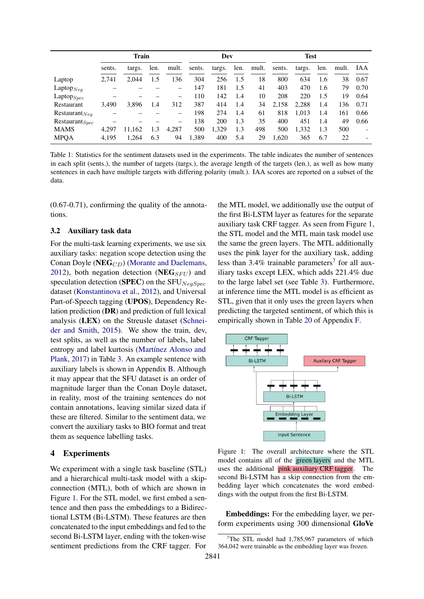<span id="page-3-0"></span>

|                     | Train  |        |      |       |        | Dev    |      |       | <b>Test</b> |        |      |       |      |
|---------------------|--------|--------|------|-------|--------|--------|------|-------|-------------|--------|------|-------|------|
|                     | sents. | targs. | len. | mult. | sents. | targs. | len. | mult. | sents.      | targs. | len. | mult. | IAA  |
| Laptop              | 2,741  | 2.044  | 1.5  | 36    | 304    | 256    | 1.5  | 18    | 800         | 634    | 1.6  | 38    | 0.67 |
| Laptop $_{Neq}$     |        |        |      |       | 147    | 181    | 1.5  | 41    | 403         | 470    | 1.6  | 79    | 0.70 |
| $L$ aptop $_{Spec}$ |        |        |      | —     | 110    | 142    | 1.4  | 10    | 208         | 220    | 1.5  | 19    | 0.64 |
| Restaurant          | 3,490  | 3,896  | 1.4  | 312   | 387    | 414    | 1.4  | 34    | 2,158       | 2,288  | 1.4  | 136   | 0.71 |
| $Restaurant_{Neq}$  |        |        |      | —     | 198    | 274    | 1.4  | 61    | 818         | 1,013  | 1.4  | 161   | 0.66 |
| $Restaurant_{Spec}$ |        |        |      |       | 138    | 200    | 1.3  | 35    | 400         | 451    | 1.4  | 49    | 0.66 |
| <b>MAMS</b>         | 4.297  | 11.162 | 1.3  | 4.287 | 500    | 1,329  | 1.3  | 498   | 500         | 1,332  | 1.3  | 500   |      |
| <b>MPQA</b>         | 4,195  | 1,264  | 6.3  | 94    | 1,389  | 400    | 5.4  | 29    | 1.620       | 365    | 6.7  | 22    |      |

Table 1: Statistics for the sentiment datasets used in the experiments. The table indicates the number of sentences in each split (sents.), the number of targets (targs.), the average length of the targets (len.), as well as how many sentences in each have multiple targets with differing polarity (mult.). IAA scores are reported on a subset of the data.

(0.67-0.71), confirming the quality of the annotations.

#### 3.2 Auxiliary task data

For the multi-task learning experiments, we use six auxiliary tasks: negation scope detection using the Conan Doyle (NEG<sub>CD</sub>) [\(Morante and Daelemans,](#page-10-12) [2012\)](#page-10-12), both negation detection (NEG<sub>SFU</sub>) and speculation detection (SPEC) on the SFU $_{NeqSpec}$ dataset [\(Konstantinova et al.,](#page-9-15) [2012\)](#page-9-15), and Universal Part-of-Speech tagging (UPOS), Dependency Relation prediction (DR) and prediction of full lexical analysis (LEX) on the Streusle dataset [\(Schnei](#page-11-12)[der and Smith,](#page-11-12) [2015\)](#page-11-12). We show the train, dev, test splits, as well as the number of labels, label entropy and label kurtosis [\(Martínez Alonso and](#page-10-8) [Plank,](#page-10-8) [2017\)](#page-10-8) in Table [3.](#page-4-1) An example sentence with auxiliary labels is shown in Appendix [B.](#page-14-0) Although it may appear that the SFU dataset is an order of magnitude larger than the Conan Doyle dataset, in reality, most of the training sentences do not contain annotations, leaving similar sized data if these are filtered. Similar to the sentiment data, we convert the auxiliary tasks to BIO format and treat them as sequence labelling tasks.

#### 4 Experiments

We experiment with a single task baseline (STL) and a hierarchical multi-task model with a skipconnection (MTL), both of which are shown in Figure [1.](#page-3-1) For the STL model, we first embed a sentence and then pass the embeddings to a Bidirectional LSTM (Bi-LSTM). These features are then concatenated to the input embeddings and fed to the second Bi-LSTM layer, ending with the token-wise sentiment predictions from the CRF tagger. For

the MTL model, we additionally use the output of the first Bi-LSTM layer as features for the separate auxiliary task CRF tagger. As seen from Figure [1,](#page-3-1) the STL model and the MTL main task model use the same the green layers. The MTL additionally uses the pink layer for the auxiliary task, adding less than  $3.4\%$  trainable parameters<sup>[7](#page-3-2)</sup> for all auxiliary tasks except LEX, which adds 221.4% due to the large label set (see Table [3\)](#page-4-1). Furthermore, at inference time the MTL model is as efficient as STL, given that it only uses the green layers when predicting the targeted sentiment, of which this is empirically shown in Table [20](#page-31-0) of Appendix [F.](#page-29-0)

<span id="page-3-1"></span>

Figure 1: The overall architecture where the STL model contains all of the green layers and the MTL uses the additional pink auxiliary CRF tagger. The second Bi-LSTM has a skip connection from the embedding layer which concatenates the word embeddings with the output from the first Bi-LSTM.

Embeddings: For the embedding layer, we perform experiments using 300 dimensional GloVe

<span id="page-3-2"></span><sup>&</sup>lt;sup>7</sup>The STL model had 1,785,967 parameters of which 364,042 were trainable as the embedding layer was frozen.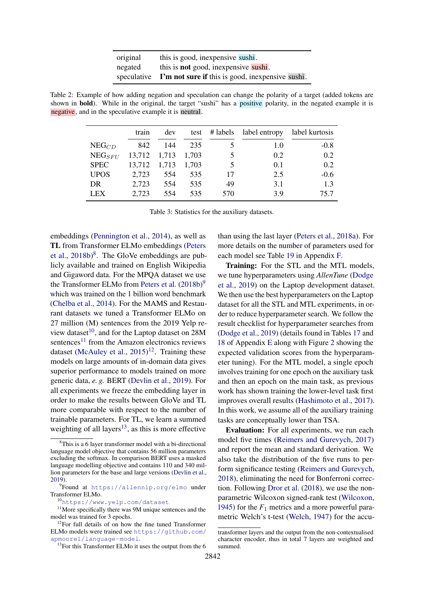| original | this is good, inexpensive sushi.                             |
|----------|--------------------------------------------------------------|
| negated  | this is <b>not</b> good, inexpensive sushi.                  |
|          | speculative I'm not sure if this is good, inexpensive sushi. |

<span id="page-4-1"></span><span id="page-4-0"></span>Table 2: Example of how adding negation and speculation can change the polarity of a target (added tokens are shown in bold). While in the original, the target "sushi" has a positive polarity, in the negated example it is negative, and in the speculative example it is neutral.

|             | train  | dev   | test  | # labels | label entropy | label kurtosis |
|-------------|--------|-------|-------|----------|---------------|----------------|
| $NEG_{CD}$  | 842    | 144   | 235   |          | 1.0           | $-0.8$         |
| $NEG_{SFU}$ | 13,712 | 1,713 | 1.703 |          | 0.2           | 0.2            |
| <b>SPEC</b> | 13,712 | 1,713 | 1,703 |          | 0.1           | 0.2            |
| <b>UPOS</b> | 2,723  | 554   | 535   | 17       | 2.5           | $-0.6$         |
| DR          | 2,723  | 554   | 535   | 49       | 3.1           | 1.3            |
| <b>LEX</b>  | 2,723  | 554   | 535   | 570      | 39            | 75.7           |

Table 3: Statistics for the auxiliary datasets.

embeddings [\(Pennington et al.,](#page-10-13) [2014\)](#page-10-13), as well as TL from Transformer ELMo embeddings [\(Peters](#page-10-14) [et al.,](#page-10-14) [2018b\)](#page-10-14)<sup>[8](#page-4-2)</sup>. The GloVe embeddings are publicly available and trained on English Wikipedia and Gigaword data. For the MPQA dataset we use the Transformer ELMo from [Peters et al.](#page-10-14)  $(2018b)^9$  $(2018b)^9$  $(2018b)^9$ which was trained on the 1 billion word benchmark [\(Chelba et al.,](#page-8-14) [2014\)](#page-8-14). For the MAMS and Restaurant datasets we tuned a Transformer ELMo on 27 million (M) sentences from the 2019 Yelp re-view dataset<sup>[10](#page-4-4)</sup>, and for the Laptop dataset on  $28M$ sentences<sup>[11](#page-4-5)</sup> from the Amazon electronics reviews dataset [\(McAuley et al.,](#page-10-15)  $2015$ <sup>[12](#page-4-6)</sup>. Training these models on large amounts of in-domain data gives superior performance to models trained on more generic data, *e. g.* BERT [\(Devlin et al.,](#page-8-9) [2019\)](#page-8-9). For all experiments we freeze the embedding layer in order to make the results between GloVe and TL more comparable with respect to the number of trainable parameters. For TL, we learn a summed weighting of all layers<sup>[13](#page-4-7)</sup>, as this is more effective

than using the last layer [\(Peters et al.,](#page-10-10) [2018a\)](#page-10-10). For more details on the number of parameters used for each model see Table [19](#page-30-0) in Appendix [F.](#page-29-0)

Training: For the STL and the MTL models, we tune hyperparameters using *AllenTune* [\(Dodge](#page-8-15) [et al.,](#page-8-15) [2019\)](#page-8-15) on the Laptop development dataset. We then use the best hyperparameters on the Laptop dataset for all the STL and MTL experiments, in order to reduce hyperparameter search. We follow the result checklist for hyperparameter searches from [\(Dodge et al.,](#page-8-15) [2019\)](#page-8-15) (details found in Tables [17](#page-26-0) and [18](#page-27-0) of Appendix [E](#page-25-0) along with Figure [2](#page-28-0) showing the expected validation scores from the hyperparameter tuning). For the MTL model, a single epoch involves training for one epoch on the auxiliary task and then an epoch on the main task, as previous work has shown training the lower-level task first improves overall results [\(Hashimoto et al.,](#page-9-17) [2017\)](#page-9-17). In this work, we assume all of the auxiliary training tasks are conceptually lower than TSA.

Evaluation: For all experiments, we run each model five times [\(Reimers and Gurevych,](#page-10-16) [2017\)](#page-10-16) and report the mean and standard derivation. We also take the distribution of the five runs to perform significance testing [\(Reimers and Gurevych,](#page-10-17) [2018\)](#page-10-17), eliminating the need for Bonferroni correction. Following [Dror et al.](#page-8-16) [\(2018\)](#page-8-16), we use the nonparametric Wilcoxon signed-rank test [\(Wilcoxon,](#page-11-13) [1945\)](#page-11-13) for the  $F_1$  metrics and a more powerful parametric Welch's t-test [\(Welch,](#page-11-14) [1947\)](#page-11-14) for the accu-

<span id="page-4-2"></span><sup>&</sup>lt;sup>3</sup>This is a 6 layer transformer model with a bi-directional language model objective that contains 56 million parameters excluding the softmax. In comparison BERT uses a masked language modelling objective and contains 110 and 340 million parameters for the base and large versions [\(Devlin et al.,](#page-8-9) [2019\)](#page-8-9).

<span id="page-4-3"></span><sup>9</sup> Found at <https://allennlp.org/elmo> under Transformer ELMo.

<span id="page-4-5"></span><span id="page-4-4"></span><sup>10</sup><https://www.yelp.com/dataset>

<sup>&</sup>lt;sup>11</sup>More specifically there was 9M unique sentences and the model was trained for 3 epochs.

<span id="page-4-6"></span><sup>&</sup>lt;sup>12</sup>For full details of on how the fine tuned Transformer ELMo models were trained see [https://github.com/](https://github.com/apmoore1/language-model) [apmoore1/language-model](https://github.com/apmoore1/language-model).

<span id="page-4-7"></span><sup>&</sup>lt;sup>13</sup>For this Transformer ELMo it uses the output from the 6

transformer layers and the output from the non-contextualised character encoder, thus in total 7 layers are weighted and summed.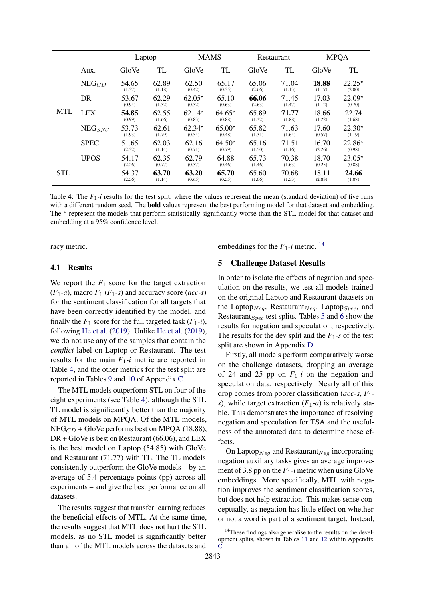<span id="page-5-0"></span>

|            |              | Laptop          |                 |                    | <b>MAMS</b>        | Restaurant      |                 | <b>MPQA</b>     |                    |
|------------|--------------|-----------------|-----------------|--------------------|--------------------|-----------------|-----------------|-----------------|--------------------|
|            | Aux.         | GloVe           | TL              | GloVe              | TL                 | GloVe           | TL              | GloVe           | TL                 |
|            | $NEG_{CD}$   | 54.65<br>(1.37) | 62.89<br>(1.18) | 62.50<br>(0.42)    | 65.17<br>(0.35)    | 65.06<br>(2.66) | 71.04<br>(1.13) | 18.88<br>(1.17) | $22.25*$<br>(2.00) |
|            | DR           | 53.67<br>(0.94) | 62.29<br>(1.32) | $62.05*$<br>(0.32) | 65.10<br>(0.63)    | 66.06<br>(2.63) | 71.45<br>(1.47) | 17.03<br>(1.12) | $22.09*$<br>(0.70) |
| <b>MTL</b> | <b>LEX</b>   | 54.85<br>(0.99) | 62.55<br>(1.66) | $62.14*$<br>(0.83) | $64.65*$<br>(0.88) | 65.89<br>(1.32) | 71.77<br>(1.88) | 18.66<br>(1.22) | 22.74<br>(1.68)    |
|            | $NEG_{SFII}$ | 53.73<br>(1.93) | 62.61<br>(1.79) | $62.34*$<br>(0.54) | $65.00*$<br>(0.48) | 65.82<br>(1.31) | 71.63<br>(1.64) | 17.60<br>(0.57) | $22.30*$<br>(1.19) |
|            | <b>SPEC</b>  | 51.65<br>(2.32) | 62.03<br>(1.14) | 62.16<br>(0.71)    | $64.50*$<br>(0.79) | 65.16<br>(1.50) | 71.51<br>(1.16) | 16.70<br>(2.26) | $22.86*$<br>(0.98) |
|            | <b>UPOS</b>  | 54.17<br>(2.26) | 62.35<br>(0.77) | 62.79<br>(0.37)    | 64.88<br>(0.46)    | 65.73<br>(1.46) | 70.38<br>(1.63) | 18.70<br>(0.25) | $23.05*$<br>(0.88) |
| <b>STL</b> |              | 54.37<br>(2.56) | 63.70<br>(1.14) | 63.20<br>(0.65)    | 65.70<br>(0.55)    | 65.60<br>(1.06) | 70.68<br>(1.53) | 18.11<br>(2.83) | 24.66<br>(1.07)    |

Table 4: The  $F_1$ -*i* results for the test split, where the values represent the mean (standard deviation) of five runs with a different random seed. The **bold** values represent the best performing model for that dataset and embedding. The \* represent the models that perform statistically significantly worse than the STL model for that dataset and embedding at a 95% confidence level.

racy metric.

#### 4.1 Results

We report the  $F_1$  score for the target extraction  $(F_1-a)$ , macro  $F_1$   $(F_1-s)$  and accuracy score  $(ac-s)$ for the sentiment classification for all targets that have been correctly identified by the model, and finally the  $F_1$  score for the full targeted task  $(F_1 - i)$ , following [He et al.](#page-9-12) [\(2019\)](#page-9-12). Unlike [He et al.](#page-9-12) [\(2019\)](#page-9-12), we do not use any of the samples that contain the *conflict* label on Laptop or Restaurant. The test results for the main *F*1*-i* metric are reported in Table [4,](#page-5-0) and the other metrics for the test split are reported in Tables [9](#page-17-0) and [10](#page-18-0) of Appendix [C.](#page-16-0)

The MTL models outperform STL on four of the eight experiments (see Table [4\)](#page-5-0), although the STL TL model is significantly better than the majority of MTL models on MPQA. Of the MTL models,  $NEG_{CD}$  + GloVe performs best on MPQA (18.88), DR + GloVe is best on Restaurant (66.06), and LEX is the best model on Laptop (54.85) with GloVe and Restaurant (71.77) with TL. The TL models consistently outperform the GloVe models – by an average of 5.4 percentage points (pp) across all experiments – and give the best performance on all datasets.

The results suggest that transfer learning reduces the beneficial effects of MTL. At the same time, the results suggest that MTL does not hurt the STL models, as no STL model is significantly better than all of the MTL models across the datasets and

embeddings for the  $F_1$ -*i* metric. <sup>[14](#page-5-1)</sup>

#### 5 Challenge Dataset Results

In order to isolate the effects of negation and speculation on the results, we test all models trained on the original Laptop and Restaurant datasets on the Laptop<sub>Neg</sub>, Restaurant<sub>Neg</sub>, Laptop<sub>Spec</sub>, and Restaurant $_{Spec}$  test splits. Tables [5](#page-6-0) and [6](#page-7-0) show the results for negation and speculation, respectively. The results for the dev split and the  $F_1$ -s of the test split are shown in Appendix [D.](#page-21-0)

Firstly, all models perform comparatively worse on the challenge datasets, dropping an average of 24 and 25 pp on  $F_1$ -*i* on the negation and speculation data, respectively. Nearly all of this drop comes from poorer classification (*acc-s*, *F*1 *s*), while target extraction  $(F_1-a)$  is relatively stable. This demonstrates the importance of resolving negation and speculation for TSA and the usefulness of the annotated data to determine these effects.

On Laptop $_{Neq}$  and Restaurant $_{Neq}$  incorporating negation auxiliary tasks gives an average improvement of 3.8 pp on the  $F_1$ -*i* metric when using GloVe embeddings. More specifically, MTL with negation improves the sentiment classification scores, but does not help extraction. This makes sense conceptually, as negation has little effect on whether or not a word is part of a sentiment target. Instead,

<span id="page-5-1"></span><sup>&</sup>lt;sup>14</sup>These findings also generalise to the results on the development splits, shown in Tables [11](#page-19-0) and [12](#page-20-0) within Appendix [C.](#page-16-0)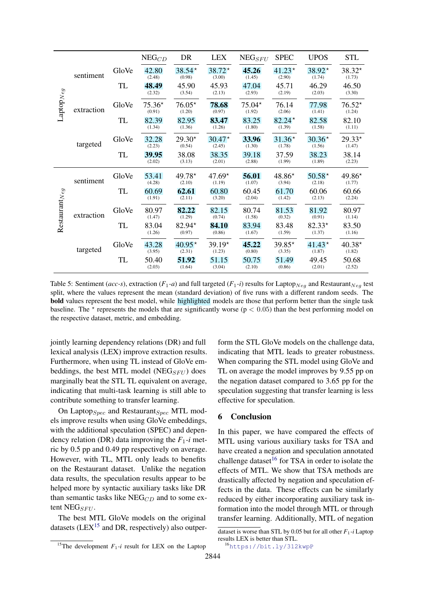<span id="page-6-0"></span>

|                                   |            |           | $\mathrm{NEG}_{CD}$ | DR                 | <b>LEX</b>         | $NEG_{SFU}$        | <b>SPEC</b>        | <b>UPOS</b>        | <b>STL</b>         |
|-----------------------------------|------------|-----------|---------------------|--------------------|--------------------|--------------------|--------------------|--------------------|--------------------|
|                                   | sentiment  | GloVe     | 42.80<br>(2.48)     | $38.54*$<br>(0.98) | $38.72*$<br>(3.00) | 45.26<br>(1.45)    | $41.23*$<br>(2.90) | 38.92*<br>(1.74)   | 38.32*<br>(1.73)   |
|                                   |            | TL        | 48.49<br>(2.32)     | 45.90<br>(3.54)    | 45.93<br>(2.13)    | 47.04<br>(2.93)    | 45.71<br>(2.19)    | 46.29<br>(2.03)    | 46.50<br>(3.30)    |
| $\text{Laptop}_{Neg}$             | extraction | GloVe     | $75.36*$<br>(0.91)  | $76.05*$<br>(1.20) | 78.68<br>(0.97)    | $75.04*$<br>(1.92) | 76.14<br>(2.06)    | 77.98<br>(1.41)    | $76.52*$<br>(1.24) |
|                                   |            | TL        | 82.39<br>(1.34)     | 82.95<br>(1.36)    | 83.47<br>(1.26)    | 83.25<br>(1.80)    | $82.24*$<br>(1.39) | 82.58<br>(1.58)    | 82.10<br>(1.11)    |
|                                   | targeted   | GloVe     | 32.28<br>(2.23)     | $29.30*$<br>(0.54) | $30.47*$<br>(2.45) | 33.96<br>(1.30)    | $31.36*$<br>(1.78) | $30.36*$<br>(1.56) | 29.33*<br>(1.47)   |
|                                   |            | TL        | 39.95<br>(2.02)     | 38.08<br>(3.13)    | 38.35<br>(2.01)    | 39.18<br>(2.88)    | 37.59<br>(1.99)    | 38.23<br>(1.89)    | 38.14<br>(2.23)    |
|                                   | sentiment  | GloVe     | 53.41<br>(4.28)     | 49.78*<br>(2.10)   | $47.69*$<br>(1.19) | 56.01<br>(1.07)    | 48.86*<br>(3.94)   | $50.58*$<br>(2.18) | 49.86*<br>(1.77)   |
|                                   |            | TL        | 60.69<br>(1.91)     | 62.61<br>(2.11)    | 60.80<br>(3.20)    | 60.45<br>(2.04)    | 61.70<br>(1.42)    | 60.06<br>(2.13)    | 60.66<br>(2.24)    |
| $\operatorname{Restaurant}_{Neg}$ | extraction | GloVe     | 80.97<br>(1.47)     | 82.22<br>(1.29)    | 82.15<br>(0.74)    | 80.74<br>(1.58)    | 81.53<br>(0.32)    | 81.92<br>(0.91)    | 80.97<br>(1.14)    |
|                                   |            | TL        | 83.04<br>(1.26)     | 82.94*<br>(0.97)   | 84.10<br>(0.86)    | 83.94<br>(1.67)    | 83.48<br>(1.59)    | $82.33*$<br>(1.37) | 83.50<br>(1.16)    |
|                                   | targeted   | GloVe     | 43.28<br>(3.95)     | $40.95*$<br>(2.31) | $39.19*$<br>(1.23) | 45.22<br>(0.80)    | $39.85*$<br>(3.35) | $41.43*$<br>(1.87) | $40.38*$<br>(1.82) |
|                                   |            | <b>TL</b> | 50.40<br>(2.03)     | 51.92<br>(1.64)    | 51.15<br>(3.04)    | 50.75<br>(2.10)    | 51.49<br>(0.86)    | 49.45<br>(2.01)    | 50.68<br>(2.52)    |

Table 5: Sentiment (*acc-s*), extraction ( $F_1$ -*a*) and full targeted ( $F_1$ -*i*) results for Laptop<sub>Neg</sub> and Restaurant<sub>Neg</sub> test split, where the values represent the mean (standard deviation) of five runs with a different random seeds. The bold values represent the best model, while highlighted models are those that perform better than the single task baseline. The  $*$  represents the models that are significantly worse ( $p < 0.05$ ) than the best performing model on the respective dataset, metric, and embedding.

jointly learning dependency relations (DR) and full lexical analysis (LEX) improve extraction results. Furthermore, when using TL instead of GloVe embeddings, the best MTL model (NEG<sub>SFU</sub>) does marginally beat the STL TL equivalent on average, indicating that multi-task learning is still able to contribute something to transfer learning.

On Laptop $_{Spec}$  and Restaurant $_{Spec}$  MTL models improve results when using GloVe embeddings, with the additional speculation (SPEC) and dependency relation (DR) data improving the  $F_1$ -*i* metric by 0.5 pp and 0.49 pp respectively on average. However, with TL, MTL only leads to benefits on the Restaurant dataset. Unlike the negation data results, the speculation results appear to be helped more by syntactic auxiliary tasks like DR than semantic tasks like  $NEG_{CD}$  and to some extent NEG $_{SFU}$ .

The best MTL GloVe models on the original datasets ( $LEX^{15}$  $LEX^{15}$  $LEX^{15}$  and DR, respectively) also outperform the STL GloVe models on the challenge data, indicating that MTL leads to greater robustness. When comparing the STL model using GloVe and TL on average the model improves by 9.55 pp on the negation dataset compared to 3.65 pp for the speculation suggesting that transfer learning is less effective for speculation.

#### 6 Conclusion

In this paper, we have compared the effects of MTL using various auxiliary tasks for TSA and have created a negation and speculation annotated challenge dataset<sup>[16](#page-6-2)</sup> for TSA in order to isolate the effects of MTL. We show that TSA methods are drastically affected by negation and speculation effects in the data. These effects can be similarly reduced by either incorporating auxiliary task information into the model through MTL or through transfer learning. Additionally, MTL of negation

<span id="page-6-1"></span><sup>&</sup>lt;sup>15</sup>The development  $F_1$ -*i* result for LEX on the Laptop

dataset is worse than STL by 0.05 but for all other *F*1*-i* Laptop results LEX is better than STL.

<span id="page-6-2"></span><sup>16</sup><https://bit.ly/312kwpP>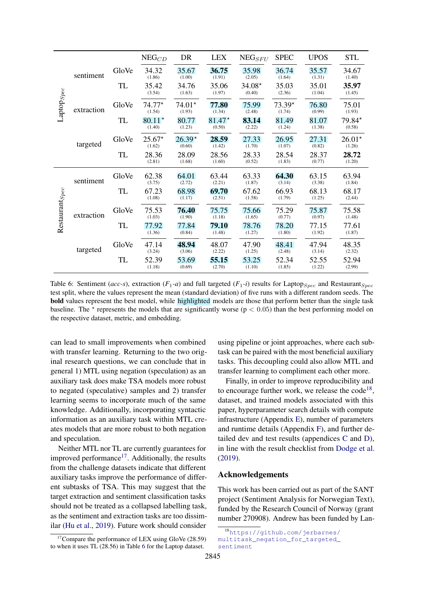<span id="page-7-0"></span>

|                            |            |       | $\mathrm{NEG}_{CD}$ | DR                 | <b>LEX</b>         | $NEG_{SFU}$        | <b>SPEC</b>        | <b>UPOS</b>     | <b>STL</b>         |
|----------------------------|------------|-------|---------------------|--------------------|--------------------|--------------------|--------------------|-----------------|--------------------|
|                            | sentiment  | GloVe | 34.32<br>(1.86)     | 35.67<br>(1.00)    | 36.75<br>(1.91)    | 35.98<br>(2.05)    | 36.74<br>(1.64)    | 35.57<br>(1.31) | 34.67<br>(1.40)    |
|                            |            | TL    | 35.42<br>(3.54)     | 34.76<br>(1.63)    | 35.06<br>(1.97)    | $34.08*$<br>(0.40) | 35.03<br>(2.36)    | 35.01<br>(1.04) | 35.97<br>(1.45)    |
| $\text{Laptop}_{Spec}$     | extraction | GloVe | $74.77*$<br>(1.54)  | $74.01*$<br>(1.93) | 77.80<br>(1.34)    | 75.99<br>(2.48)    | $73.39*$<br>(1.74) | 76.80<br>(0.99) | 75.01<br>(1.93)    |
|                            |            | TL    | $80.11*$<br>(1.40)  | 80.77<br>(1.23)    | $81.47*$<br>(0.50) | 83.14<br>(2.22)    | 81.49<br>(1.24)    | 81.07<br>(1.38) | 79.84*<br>(0.58)   |
|                            | targeted   | GloVe | $25.67*$<br>(1.62)  | $26.39*$<br>(0.60) | 28.59<br>(1.42)    | 27.33<br>(1.70)    | 26.95<br>(1.07)    | 27.31<br>(0.82) | $26.01*$<br>(1.26) |
|                            |            | TL    | 28.36<br>(2.81)     | 28.09<br>(1.68)    | 28.56<br>(1.60)    | 28.33<br>(0.52)    | 28.54<br>(1.83)    | 28.37<br>(0.77) | 28.72<br>(1.20)    |
|                            | sentiment  | GloVe | 62.38<br>(3.75)     | 64.01<br>(2.72)    | 63.44<br>(2.21)    | 63.33<br>(1.87)    | 64.30<br>(3.14)    | 63.15<br>(3.38) | 63.94<br>(1.84)    |
|                            |            | TL    | 67.23<br>(1.08)     | 68.98<br>(1.17)    | 69.70<br>(2.51)    | 67.62<br>(1.58)    | 66.93<br>(1.79)    | 68.13<br>(1.25) | 68.17<br>(2.44)    |
| Restaurant <sub>Spec</sub> | extraction | GloVe | 75.53<br>(1.03)     | 76.40<br>(1.90)    | 75.75<br>(1.18)    | 75.66<br>(1.65)    | 75.29<br>(0.77)    | 75.87<br>(0.97) | 75.58<br>(1.48)    |
|                            |            | TL    | 77.92<br>(1.36)     | 77.84<br>(0.84)    | 79.10<br>(1.48)    | 78.76<br>(1.27)    | 78.20<br>(1.80)    | 77.15<br>(1.92) | 77.61<br>(1.87)    |
|                            | targeted   | GloVe | 47.14<br>(3.24)     | 48.94<br>(3.06)    | 48.07<br>(2.22)    | 47.90<br>(1.25)    | 48.41<br>(2.48)    | 47.94<br>(3.14) | 48.35<br>(2.32)    |
|                            |            | TL    | 52.39<br>(1.18)     | 53.69<br>(0.69)    | 55.15<br>(2.70)    | 53.25<br>(1.10)    | 52.34<br>(1.85)    | 52.55<br>(1.22) | 52.94<br>(2.99)    |

Table 6: Sentiment (*acc-s*), extraction ( $F_1$ -*a*) and full targeted ( $F_1$ -*i*) results for Laptop<sub>Spec</sub> and Restaurant<sub>Spec</sub> test split, where the values represent the mean (standard deviation) of five runs with a different random seeds. The bold values represent the best model, while highlighted models are those that perform better than the single task baseline. The  $*$  represents the models that are significantly worse ( $p < 0.05$ ) than the best performing model on the respective dataset, metric, and embedding.

can lead to small improvements when combined with transfer learning. Returning to the two original research questions, we can conclude that in general 1) MTL using negation (speculation) as an auxiliary task does make TSA models more robust to negated (speculative) samples and 2) transfer learning seems to incorporate much of the same knowledge. Additionally, incorporating syntactic information as an auxiliary task within MTL creates models that are more robust to both negation and speculation.

Neither MTL nor TL are currently guarantees for improved performance $17$ . Additionally, the results from the challenge datasets indicate that different auxiliary tasks improve the performance of different subtasks of TSA. This may suggest that the target extraction and sentiment classification tasks should not be treated as a collapsed labelling task, as the sentiment and extraction tasks are too dissimilar [\(Hu et al.,](#page-9-2) [2019\)](#page-9-2). Future work should consider using pipeline or joint approaches, where each subtask can be paired with the most beneficial auxiliary tasks. This decoupling could also allow MTL and transfer learning to compliment each other more.

Finally, in order to improve reproducibility and to encourage further work, we release the  $code^{18}$  $code^{18}$  $code^{18}$ , dataset, and trained models associated with this paper, hyperparameter search details with compute infrastructure (Appendix [E\)](#page-25-0), number of parameters and runtime details (Appendix [F\)](#page-29-0), and further detailed dev and test results (appendices [C](#page-16-0) and [D\)](#page-21-0), in line with the result checklist from [Dodge et al.](#page-8-15) [\(2019\)](#page-8-15).

#### Acknowledgements

This work has been carried out as part of the SANT project (Sentiment Analysis for Norwegian Text), funded by the Research Council of Norway (grant number 270908). Andrew has been funded by Lan-

<span id="page-7-1"></span><sup>&</sup>lt;sup>17</sup>Compare the performance of LEX using GloVe  $(28.59)$ to when it uses TL (28.56) in Table [6](#page-7-0) for the Laptop dataset.

<span id="page-7-2"></span><sup>18</sup>[https://github.com/jerbarnes/](https://github.com/jerbarnes/multitask_negation_for_targeted_sentiment) [multitask\\_negation\\_for\\_targeted\\_](https://github.com/jerbarnes/multitask_negation_for_targeted_sentiment) [sentiment](https://github.com/jerbarnes/multitask_negation_for_targeted_sentiment)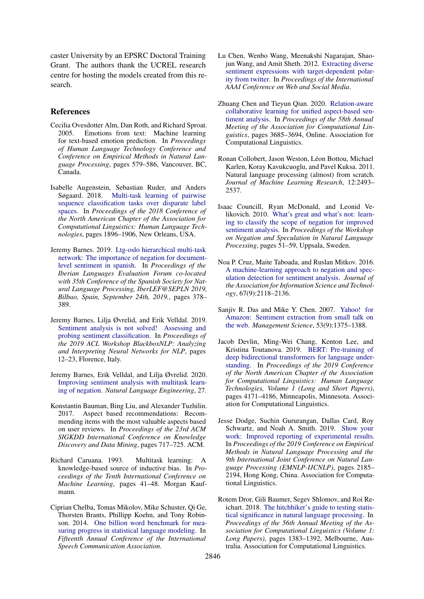caster University by an EPSRC Doctoral Training Grant. The authors thank the UCREL research centre for hosting the models created from this research.

#### References

- <span id="page-8-1"></span>Cecilia Ovesdotter Alm, Dan Roth, and Richard Sproat. 2005. Emotions from text: Machine learning for text-based emotion prediction. In *Proceedings of Human Language Technology Conference and Conference on Empirical Methods in Natural Language Processing*, pages 579–586, Vancouver, BC, Canada.
- <span id="page-8-8"></span>Isabelle Augenstein, Sebastian Ruder, and Anders [Multi-task learning of pairwise](https://doi.org/10.18653/v1/N18-1172) [sequence classification tasks over disparate label](https://doi.org/10.18653/v1/N18-1172) [spaces.](https://doi.org/10.18653/v1/N18-1172) In *Proceedings of the 2018 Conference of the North American Chapter of the Association for Computational Linguistics: Human Language Technologies*, pages 1896–1906, New Orleans, USA.
- <span id="page-8-13"></span>Jeremy Barnes. 2019. [Ltg-oslo hierarchical multi-task](http://ceur-ws.org/Vol-2421/NEGES_paper_5.pdf) [network: The importance of negation for document](http://ceur-ws.org/Vol-2421/NEGES_paper_5.pdf)[level sentiment in spanish.](http://ceur-ws.org/Vol-2421/NEGES_paper_5.pdf) In *Proceedings of the Iberian Languages Evaluation Forum co-located with 35th Conference of the Spanish Society for Natural Language Processing, IberLEF@SEPLN 2019, Bilbao, Spain, September 24th, 2019.*, pages 378– 389.
- <span id="page-8-12"></span>Jeremy Barnes, Lilja Øvrelid, and Erik Velldal. 2019. [Sentiment analysis is not solved! Assessing and](https://www.aclweb.org/anthology/W19-4802) [probing sentiment classification.](https://www.aclweb.org/anthology/W19-4802) In *Proceedings of the 2019 ACL Workshop BlackboxNLP: Analyzing and Interpreting Neural Networks for NLP*, pages 12–23, Florence, Italy.
- <span id="page-8-4"></span>Jeremy Barnes, Erik Velldal, and Lilja Øvrelid. 2020. [Improving sentiment analysis with multitask learn](https://arxiv.org/abs/1906.07610)[ing of negation.](https://arxiv.org/abs/1906.07610) *Natural Language Engineering*, 27.
- <span id="page-8-0"></span>Konstantin Bauman, Bing Liu, and Alexander Tuzhilin. 2017. Aspect based recommendations: Recommending items with the most valuable aspects based on user reviews. In *Proceedings of the 23rd ACM SIGKDD International Conference on Knowledge Discovery and Data Mining*, pages 717–725. ACM.
- <span id="page-8-6"></span>Richard Caruana. 1993. Multitask learning: A knowledge-based source of inductive bias. In *Proceedings of the Tenth International Conference on Machine Learning*, pages 41–48. Morgan Kaufmann.
- <span id="page-8-14"></span>Ciprian Chelba, Tomas Mikolov, Mike Schuster, Qi Ge, Thorsten Brants, Phillipp Koehn, and Tony Robinson. 2014. [One billion word benchmark for mea](https://www.isca-speech.org/archive/archive_papers/interspeech_2014/i14_2635.pdf)[suring progress in statistical language modeling.](https://www.isca-speech.org/archive/archive_papers/interspeech_2014/i14_2635.pdf) In *Fifteenth Annual Conference of the International Speech Communication Association*.
- <span id="page-8-5"></span>Lu Chen, Wenbo Wang, Meenakshi Nagarajan, Shaojun Wang, and Amit Sheth. 2012. [Extracting diverse](https://www.aaai.org/ocs/index.php/ICWSM/ICWSM12/paper/view/4609) [sentiment expressions with target-dependent polar](https://www.aaai.org/ocs/index.php/ICWSM/ICWSM12/paper/view/4609)[ity from twitter.](https://www.aaai.org/ocs/index.php/ICWSM/ICWSM12/paper/view/4609) In *Proceedings of the International AAAI Conference on Web and Social Media*.
- <span id="page-8-10"></span>Zhuang Chen and Tieyun Qian. 2020. [Relation-aware](https://doi.org/10.18653/v1/2020.acl-main.340) [collaborative learning for unified aspect-based sen](https://doi.org/10.18653/v1/2020.acl-main.340)[timent analysis.](https://doi.org/10.18653/v1/2020.acl-main.340) In *Proceedings of the 58th Annual Meeting of the Association for Computational Linguistics*, pages 3685–3694, Online. Association for Computational Linguistics.
- <span id="page-8-7"></span>Ronan Collobert, Jason Weston, Léon Bottou, Michael Karlen, Koray Kavukcuoglu, and Pavel Kuksa. 2011. Natural language processing (almost) from scratch. *Journal of Machine Learning Research*, 12:2493– 2537.
- <span id="page-8-2"></span>Isaac Councill, Ryan McDonald, and Leonid Velikovich. 2010. [What's great and what's not: learn](https://www.aclweb.org/anthology/W10-3110)[ing to classify the scope of negation for improved](https://www.aclweb.org/anthology/W10-3110) [sentiment analysis.](https://www.aclweb.org/anthology/W10-3110) In *Proceedings of the Workshop on Negation and Speculation in Natural Language Processing*, pages 51–59, Uppsala, Sweden.
- <span id="page-8-3"></span>Noa P. Cruz, Maite Taboada, and Ruslan Mitkov. 2016. [A machine-learning approach to negation and spec](https://doi.org/10.1002/asi.23533)[ulation detection for sentiment analysis.](https://doi.org/10.1002/asi.23533) *Journal of the Association for Information Science and Technology*, 67(9):2118–2136.
- <span id="page-8-11"></span>Sanjiv R. Das and Mike Y. Chen. 2007. [Yahoo! for](https://doi.org/10.1287/mnsc.1070.0704) [Amazon: Sentiment extraction from small talk on](https://doi.org/10.1287/mnsc.1070.0704) [the web.](https://doi.org/10.1287/mnsc.1070.0704) *Management Science*, 53(9):1375–1388.
- <span id="page-8-9"></span>Jacob Devlin, Ming-Wei Chang, Kenton Lee, and Kristina Toutanova. 2019. [BERT: Pre-training of](https://doi.org/10.18653/v1/N19-1423) [deep bidirectional transformers for language under](https://doi.org/10.18653/v1/N19-1423)[standing.](https://doi.org/10.18653/v1/N19-1423) In *Proceedings of the 2019 Conference of the North American Chapter of the Association for Computational Linguistics: Human Language Technologies, Volume 1 (Long and Short Papers)*, pages 4171–4186, Minneapolis, Minnesota. Association for Computational Linguistics.
- <span id="page-8-15"></span>Jesse Dodge, Suchin Gururangan, Dallas Card, Roy Schwartz, and Noah A. Smith. 2019. [Show your](https://doi.org/10.18653/v1/D19-1224) [work: Improved reporting of experimental results.](https://doi.org/10.18653/v1/D19-1224) In *Proceedings of the 2019 Conference on Empirical Methods in Natural Language Processing and the 9th International Joint Conference on Natural Language Processing (EMNLP-IJCNLP)*, pages 2185– 2194, Hong Kong, China. Association for Computational Linguistics.
- <span id="page-8-16"></span>Rotem Dror, Gili Baumer, Segev Shlomov, and Roi Reichart. 2018. [The hitchhiker's guide to testing statis](https://doi.org/10.18653/v1/P18-1128)[tical significance in natural language processing.](https://doi.org/10.18653/v1/P18-1128) In *Proceedings of the 56th Annual Meeting of the Association for Computational Linguistics (Volume 1: Long Papers)*, pages 1383–1392, Melbourne, Australia. Association for Computational Linguistics.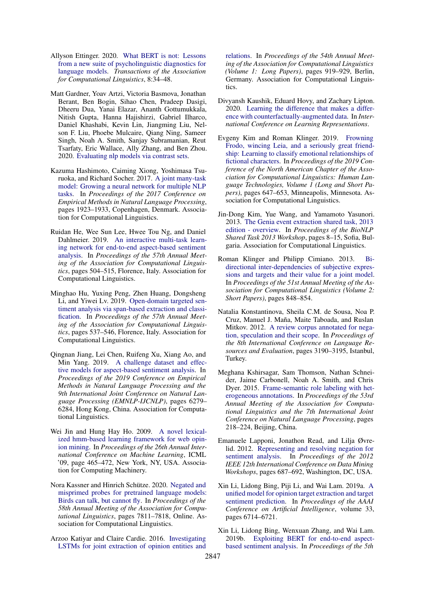- <span id="page-9-10"></span>Allyson Ettinger. 2020. [What BERT is not: Lessons](https://doi.org/10.1162/tacl_a_00298) [from a new suite of psycholinguistic diagnostics for](https://doi.org/10.1162/tacl_a_00298) [language models.](https://doi.org/10.1162/tacl_a_00298) *Transactions of the Association for Computational Linguistics*, 8:34–48.
- <span id="page-9-7"></span>Matt Gardner, Yoav Artzi, Victoria Basmova, Jonathan Berant, Ben Bogin, Sihao Chen, Pradeep Dasigi, Dheeru Dua, Yanai Elazar, Ananth Gottumukkala, Nitish Gupta, Hanna Hajishirzi, Gabriel Ilharco, Daniel Khashabi, Kevin Lin, Jiangming Liu, Nelson F. Liu, Phoebe Mulcaire, Qiang Ning, Sameer Singh, Noah A. Smith, Sanjay Subramanian, Reut Tsarfaty, Eric Wallace, Ally Zhang, and Ben Zhou. 2020. [Evaluating nlp models via contrast sets.](http://arxiv.org/abs/2004.02709)
- <span id="page-9-17"></span>Kazuma Hashimoto, Caiming Xiong, Yoshimasa Tsuruoka, and Richard Socher. 2017. [A joint many-task](https://doi.org/10.18653/v1/D17-1206) [model: Growing a neural network for multiple NLP](https://doi.org/10.18653/v1/D17-1206) [tasks.](https://doi.org/10.18653/v1/D17-1206) In *Proceedings of the 2017 Conference on Empirical Methods in Natural Language Processing*, pages 1923–1933, Copenhagen, Denmark. Association for Computational Linguistics.
- <span id="page-9-12"></span>Ruidan He, Wee Sun Lee, Hwee Tou Ng, and Daniel Dahlmeier. 2019. [An interactive multi-task learn](https://doi.org/10.18653/v1/P19-1048)[ing network for end-to-end aspect-based sentiment](https://doi.org/10.18653/v1/P19-1048) [analysis.](https://doi.org/10.18653/v1/P19-1048) In *Proceedings of the 57th Annual Meeting of the Association for Computational Linguistics*, pages 504–515, Florence, Italy. Association for Computational Linguistics.
- <span id="page-9-2"></span>Minghao Hu, Yuxing Peng, Zhen Huang, Dongsheng Li, and Yiwei Lv. 2019. [Open-domain targeted sen](https://doi.org/10.18653/v1/P19-1051)[timent analysis via span-based extraction and classi](https://doi.org/10.18653/v1/P19-1051)[fication.](https://doi.org/10.18653/v1/P19-1051) In *Proceedings of the 57th Annual Meeting of the Association for Computational Linguistics*, pages 537–546, Florence, Italy. Association for Computational Linguistics.
- <span id="page-9-5"></span>Qingnan Jiang, Lei Chen, Ruifeng Xu, Xiang Ao, and Min Yang. 2019. [A challenge dataset and effec](https://doi.org/10.18653/v1/D19-1654)[tive models for aspect-based sentiment analysis.](https://doi.org/10.18653/v1/D19-1654) In *Proceedings of the 2019 Conference on Empirical Methods in Natural Language Processing and the 9th International Joint Conference on Natural Language Processing (EMNLP-IJCNLP)*, pages 6279– 6284, Hong Kong, China. Association for Computational Linguistics.
- <span id="page-9-4"></span>Wei Jin and Hung Hay Ho. 2009. [A novel lexical](https://doi.org/10.1145/1553374.1553435)[ized hmm-based learning framework for web opin](https://doi.org/10.1145/1553374.1553435)[ion mining.](https://doi.org/10.1145/1553374.1553435) In *Proceedings of the 26th Annual International Conference on Machine Learning*, ICML '09, page 465–472, New York, NY, USA. Association for Computing Machinery.
- <span id="page-9-11"></span>Nora Kassner and Hinrich Schütze. 2020. [Negated and](https://doi.org/10.18653/v1/2020.acl-main.698) [misprimed probes for pretrained language models:](https://doi.org/10.18653/v1/2020.acl-main.698) [Birds can talk, but cannot fly.](https://doi.org/10.18653/v1/2020.acl-main.698) In *Proceedings of the 58th Annual Meeting of the Association for Computational Linguistics*, pages 7811–7818, Online. Association for Computational Linguistics.
- <span id="page-9-1"></span>Arzoo Katiyar and Claire Cardie. 2016. [Investigating](https://doi.org/10.18653/v1/P16-1087) [LSTMs for joint extraction of opinion entities and](https://doi.org/10.18653/v1/P16-1087)

[relations.](https://doi.org/10.18653/v1/P16-1087) In *Proceedings of the 54th Annual Meeting of the Association for Computational Linguistics (Volume 1: Long Papers)*, pages 919–929, Berlin, Germany. Association for Computational Linguistics.

- <span id="page-9-6"></span>Divyansh Kaushik, Eduard Hovy, and Zachary Lipton. 2020. [Learning the difference that makes a differ](https://openreview.net/forum?id=Sklgs0NFvr)[ence with counterfactually-augmented data.](https://openreview.net/forum?id=Sklgs0NFvr) In *International Conference on Learning Representations*.
- <span id="page-9-0"></span>Evgeny Kim and Roman Klinger. 2019. [Frowning](https://doi.org/10.18653/v1/N19-1067) [Frodo, wincing Leia, and a seriously great friend](https://doi.org/10.18653/v1/N19-1067)[ship: Learning to classify emotional relationships of](https://doi.org/10.18653/v1/N19-1067) [fictional characters.](https://doi.org/10.18653/v1/N19-1067) In *Proceedings of the 2019 Conference of the North American Chapter of the Association for Computational Linguistics: Human Language Technologies, Volume 1 (Long and Short Papers)*, pages 647–653, Minneapolis, Minnesota. Association for Computational Linguistics.
- <span id="page-9-14"></span>Jin-Dong Kim, Yue Wang, and Yamamoto Yasunori. 2013. [The Genia event extraction shared task, 2013](https://www.aclweb.org/anthology/W13-2002) [edition - overview.](https://www.aclweb.org/anthology/W13-2002) In *Proceedings of the BioNLP Shared Task 2013 Workshop*, pages 8–15, Sofia, Bulgaria. Association for Computational Linguistics.
- <span id="page-9-8"></span>Roman Klinger and Philipp Cimiano. 2013. [Bi](http://www.aclweb.org/anthology/P13-2147)[directional inter-dependencies of subjective expres](http://www.aclweb.org/anthology/P13-2147)[sions and targets and their value for a joint model.](http://www.aclweb.org/anthology/P13-2147) In *Proceedings of the 51st Annual Meeting of the Association for Computational Linguistics (Volume 2: Short Papers)*, pages 848–854.
- <span id="page-9-15"></span>Natalia Konstantinova, Sheila C.M. de Sousa, Noa P. Cruz, Manuel J. Maña, Maite Taboada, and Ruslan Mitkov. 2012. [A review corpus annotated for nega](http://www.lrec-conf.org/proceedings/lrec2012/pdf/533_Paper.pdf)[tion, speculation and their scope.](http://www.lrec-conf.org/proceedings/lrec2012/pdf/533_Paper.pdf) In *Proceedings of the 8th International Conference on Language Resources and Evaluation*, pages 3190–3195, Istanbul, Turkey.
- <span id="page-9-9"></span>Meghana Kshirsagar, Sam Thomson, Nathan Schneider, Jaime Carbonell, Noah A. Smith, and Chris Dyer. 2015. [Frame-semantic role labeling with het](https://doi.org/10.3115/v1/P15-2036)[erogeneous annotations.](https://doi.org/10.3115/v1/P15-2036) In *Proceedings of the 53rd Annual Meeting of the Association for Computational Linguistics and the 7th International Joint Conference on Natural Language Processing*, pages 218–224, Beijing, China.
- <span id="page-9-13"></span>Emanuele Lapponi, Jonathon Read, and Lilja Øvrelid. 2012. [Representing and resolving negation for](https://doi.org/10.1109/ICDMW.2012.23) [sentiment analysis.](https://doi.org/10.1109/ICDMW.2012.23) In *Proceedings of the 2012 IEEE 12th International Conference on Data Mining Workshops*, pages 687–692, Washington, DC, USA.
- <span id="page-9-16"></span>Xin Li, Lidong Bing, Piji Li, and Wai Lam. 2019a. [A](https://doi.org/10.1609/aaai.v33i01.33016714) [unified model for opinion target extraction and target](https://doi.org/10.1609/aaai.v33i01.33016714) [sentiment prediction.](https://doi.org/10.1609/aaai.v33i01.33016714) In *Proceedings of the AAAI Conference on Artificial Intelligence*, volume 33, pages 6714–6721.
- <span id="page-9-3"></span>Xin Li, Lidong Bing, Wenxuan Zhang, and Wai Lam. 2019b. [Exploiting BERT for end-to-end aspect](https://doi.org/10.18653/v1/D19-5505)[based sentiment analysis.](https://doi.org/10.18653/v1/D19-5505) In *Proceedings of the 5th*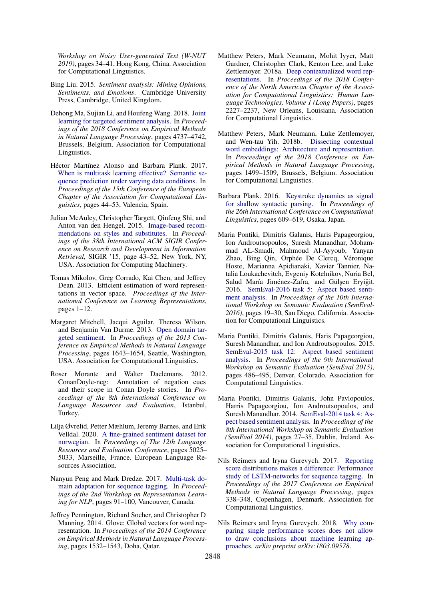*Workshop on Noisy User-generated Text (W-NUT 2019)*, pages 34–41, Hong Kong, China. Association for Computational Linguistics.

- <span id="page-10-3"></span>Bing Liu. 2015. *Sentiment analysis: Mining Opinions, Sentiments, and Emotions*. Cambridge University Press, Cambridge, United Kingdom.
- <span id="page-10-1"></span>Dehong Ma, Sujian Li, and Houfeng Wang. 2018. [Joint](https://doi.org/10.18653/v1/D18-1504) [learning for targeted sentiment analysis.](https://doi.org/10.18653/v1/D18-1504) In *Proceedings of the 2018 Conference on Empirical Methods in Natural Language Processing*, pages 4737–4742, Brussels, Belgium. Association for Computational Linguistics.
- <span id="page-10-8"></span>Héctor Martínez Alonso and Barbara Plank. 2017. [When is multitask learning effective? Semantic se](http://aclweb.org/anthology/E17-1005)[quence prediction under varying data conditions.](http://aclweb.org/anthology/E17-1005) In *Proceedings of the 15th Conference of the European Chapter of the Association for Computational Linguistics*, pages 44–53, Valencia, Spain.
- <span id="page-10-15"></span>Julian McAuley, Christopher Targett, Qinfeng Shi, and Anton van den Hengel. 2015. [Image-based recom](https://doi.org/10.1145/2766462.2767755)[mendations on styles and substitutes.](https://doi.org/10.1145/2766462.2767755) In *Proceedings of the 38th International ACM SIGIR Conference on Research and Development in Information Retrieval*, SIGIR '15, page 43–52, New York, NY, USA. Association for Computing Machinery.
- <span id="page-10-9"></span>Tomas Mikolov, Greg Corrado, Kai Chen, and Jeffrey Dean. 2013. Efficient estimation of word representations in vector space. *Proceedings of the International Conference on Learning Representations*, pages 1–12.
- <span id="page-10-0"></span>Margaret Mitchell, Jacqui Aguilar, Theresa Wilson, and Benjamin Van Durme. 2013. [Open domain tar](https://www.aclweb.org/anthology/D13-1171)[geted sentiment.](https://www.aclweb.org/anthology/D13-1171) In *Proceedings of the 2013 Conference on Empirical Methods in Natural Language Processing*, pages 1643–1654, Seattle, Washington, USA. Association for Computational Linguistics.
- <span id="page-10-12"></span>Roser Morante and Walter Daelemans. 2012. ConanDoyle-neg: Annotation of negation cues and their scope in Conan Doyle stories. In *Proceedings of the 8th International Conference on Language Resources and Evaluation*, Istanbul, Turkey.
- <span id="page-10-2"></span>Lilja Øvrelid, Petter Mæhlum, Jeremy Barnes, and Erik Velldal. 2020. [A fine-grained sentiment dataset for](https://www.aclweb.org/anthology/2020.lrec-1.618) [norwegian.](https://www.aclweb.org/anthology/2020.lrec-1.618) In *Proceedings of The 12th Language Resources and Evaluation Conference*, pages 5025– 5033, Marseille, France. European Language Resources Association.
- <span id="page-10-7"></span>Nanyun Peng and Mark Dredze. 2017. [Multi-task do](https://doi.org/10.18653/v1/W17-2612)[main adaptation for sequence tagging.](https://doi.org/10.18653/v1/W17-2612) In *Proceedings of the 2nd Workshop on Representation Learning for NLP*, pages 91–100, Vancouver, Canada.
- <span id="page-10-13"></span>Jeffrey Pennington, Richard Socher, and Christopher D Manning. 2014. Glove: Global vectors for word representation. In *Proceedings of the 2014 Conference on Empirical Methods in Natural Language Processing*, pages 1532–1543, Doha, Qatar.
- <span id="page-10-10"></span>Matthew Peters, Mark Neumann, Mohit Iyyer, Matt Gardner, Christopher Clark, Kenton Lee, and Luke Zettlemoyer. 2018a. [Deep contextualized word rep](https://doi.org/10.18653/v1/N18-1202)[resentations.](https://doi.org/10.18653/v1/N18-1202) In *Proceedings of the 2018 Conference of the North American Chapter of the Association for Computational Linguistics: Human Language Technologies, Volume 1 (Long Papers)*, pages 2227–2237, New Orleans, Louisiana. Association for Computational Linguistics.
- <span id="page-10-14"></span>Matthew Peters, Mark Neumann, Luke Zettlemoyer, and Wen-tau Yih. 2018b. [Dissecting contextual](https://doi.org/10.18653/v1/D18-1179) [word embeddings: Architecture and representation.](https://doi.org/10.18653/v1/D18-1179) In *Proceedings of the 2018 Conference on Empirical Methods in Natural Language Processing*, pages 1499–1509, Brussels, Belgium. Association for Computational Linguistics.
- <span id="page-10-6"></span>Barbara Plank. 2016. [Keystroke dynamics as signal](https://www.aclweb.org/anthology/C16-1059) [for shallow syntactic parsing.](https://www.aclweb.org/anthology/C16-1059) In *Proceedings of the 26th International Conference on Computational Linguistics*, pages 609–619, Osaka, Japan.
- <span id="page-10-5"></span>Maria Pontiki, Dimitris Galanis, Haris Papageorgiou, Ion Androutsopoulos, Suresh Manandhar, Mohammad AL-Smadi, Mahmoud Al-Ayyoub, Yanyan Zhao, Bing Qin, Orphée De Clercq, Véronique Hoste, Marianna Apidianaki, Xavier Tannier, Natalia Loukachevitch, Evgeniy Kotelnikov, Nuria Bel, Salud María Jiménez-Zafra, and Gülşen Eryiğit. 2016. [SemEval-2016 task 5: Aspect based senti](https://doi.org/10.18653/v1/S16-1002)[ment analysis.](https://doi.org/10.18653/v1/S16-1002) In *Proceedings of the 10th International Workshop on Semantic Evaluation (SemEval-2016)*, pages 19–30, San Diego, California. Association for Computational Linguistics.
- <span id="page-10-11"></span>Maria Pontiki, Dimitris Galanis, Haris Papageorgiou, Suresh Manandhar, and Ion Androutsopoulos. 2015. [SemEval-2015 task 12: Aspect based sentiment](https://doi.org/10.18653/v1/S15-2082) [analysis.](https://doi.org/10.18653/v1/S15-2082) In *Proceedings of the 9th International Workshop on Semantic Evaluation (SemEval 2015)*, pages 486–495, Denver, Colorado. Association for Computational Linguistics.
- <span id="page-10-4"></span>Maria Pontiki, Dimitris Galanis, John Pavlopoulos, Harris Papageorgiou, Ion Androutsopoulos, and Suresh Manandhar. 2014. [SemEval-2014 task 4: As](https://doi.org/10.3115/v1/S14-2004)[pect based sentiment analysis.](https://doi.org/10.3115/v1/S14-2004) In *Proceedings of the 8th International Workshop on Semantic Evaluation (SemEval 2014)*, pages 27–35, Dublin, Ireland. Association for Computational Linguistics.
- <span id="page-10-16"></span>Nils Reimers and Iryna Gurevych. 2017. [Reporting](https://doi.org/10.18653/v1/D17-1035) [score distributions makes a difference: Performance](https://doi.org/10.18653/v1/D17-1035) [study of LSTM-networks for sequence tagging.](https://doi.org/10.18653/v1/D17-1035) In *Proceedings of the 2017 Conference on Empirical Methods in Natural Language Processing*, pages 338–348, Copenhagen, Denmark. Association for Computational Linguistics.
- <span id="page-10-17"></span>Nils Reimers and Iryna Gurevych. 2018. [Why com](https://arxiv.org/pdf/1803.09578.pdf)[paring single performance scores does not allow](https://arxiv.org/pdf/1803.09578.pdf) [to draw conclusions about machine learning ap](https://arxiv.org/pdf/1803.09578.pdf)[proaches.](https://arxiv.org/pdf/1803.09578.pdf) *arXiv preprint arXiv:1803.09578*.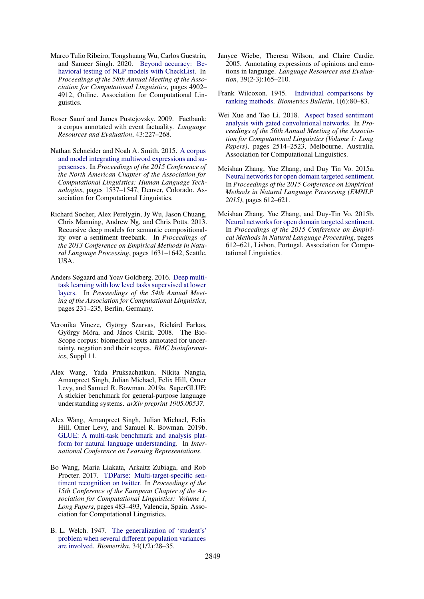- <span id="page-11-4"></span>Marco Tulio Ribeiro, Tongshuang Wu, Carlos Guestrin, and Sameer Singh. 2020. [Beyond accuracy: Be](https://doi.org/10.18653/v1/2020.acl-main.442)[havioral testing of NLP models with CheckList.](https://doi.org/10.18653/v1/2020.acl-main.442) In *Proceedings of the 58th Annual Meeting of the Association for Computational Linguistics*, pages 4902– 4912, Online. Association for Computational Linguistics.
- <span id="page-11-10"></span>Roser Saurí and James Pustejovsky. 2009. Factbank: a corpus annotated with event factuality. *Language Resources and Evaluation*, 43:227–268.
- <span id="page-11-12"></span>Nathan Schneider and Noah A. Smith. 2015. [A corpus](https://doi.org/10.3115/v1/N15-1177) [and model integrating multiword expressions and su](https://doi.org/10.3115/v1/N15-1177)[persenses.](https://doi.org/10.3115/v1/N15-1177) In *Proceedings of the 2015 Conference of the North American Chapter of the Association for Computational Linguistics: Human Language Technologies*, pages 1537–1547, Denver, Colorado. Association for Computational Linguistics.
- <span id="page-11-9"></span>Richard Socher, Alex Perelygin, Jy Wu, Jason Chuang, Chris Manning, Andrew Ng, and Chris Potts. 2013. Recursive deep models for semantic compositionality over a sentiment treebank. In *Proceedings of the 2013 Conference on Empirical Methods in Natural Language Processing*, pages 1631–1642, Seattle, USA.
- <span id="page-11-8"></span>Anders Søgaard and Yoav Goldberg. 2016. [Deep multi](https://doi.org/10.18653/v1/P16-2038)[task learning with low level tasks supervised at lower](https://doi.org/10.18653/v1/P16-2038) [layers.](https://doi.org/10.18653/v1/P16-2038) In *Proceedings of the 54th Annual Meeting of the Association for Computational Linguistics*, pages 231–235, Berlin, Germany.
- <span id="page-11-11"></span>Veronika Vincze, György Szarvas, Richárd Farkas, György Móra, and János Csirik. 2008. The Bio-Scope corpus: biomedical texts annotated for uncertainty, negation and their scopes. *BMC bioinformatics*, Suppl 11.
- <span id="page-11-7"></span>Alex Wang, Yada Pruksachatkun, Nikita Nangia, Amanpreet Singh, Julian Michael, Felix Hill, Omer Levy, and Samuel R. Bowman. 2019a. SuperGLUE: A stickier benchmark for general-purpose language understanding systems. *arXiv preprint 1905.00537*.
- <span id="page-11-6"></span>Alex Wang, Amanpreet Singh, Julian Michael, Felix Hill, Omer Levy, and Samuel R. Bowman. 2019b. [GLUE: A multi-task benchmark and analysis plat](https://openreview.net/forum?id=rJ4km2R5t7)[form for natural language understanding.](https://openreview.net/forum?id=rJ4km2R5t7) In *International Conference on Learning Representations*.
- <span id="page-11-2"></span>Bo Wang, Maria Liakata, Arkaitz Zubiaga, and Rob Procter. 2017. [TDParse: Multi-target-specific sen](https://www.aclweb.org/anthology/E17-1046)[timent recognition on twitter.](https://www.aclweb.org/anthology/E17-1046) In *Proceedings of the 15th Conference of the European Chapter of the Association for Computational Linguistics: Volume 1, Long Papers*, pages 483–493, Valencia, Spain. Association for Computational Linguistics.
- <span id="page-11-14"></span>B. L. Welch. 1947. [The generalization of 'student's'](http://www.jstor.org/stable/2332510) [problem when several different population variances](http://www.jstor.org/stable/2332510) [are involved.](http://www.jstor.org/stable/2332510) *Biometrika*, 34(1/2):28–35.
- <span id="page-11-1"></span>Janyce Wiebe, Theresa Wilson, and Claire Cardie. 2005. Annotating expressions of opinions and emotions in language. *Language Resources and Evaluation*, 39(2-3):165–210.
- <span id="page-11-13"></span>Frank Wilcoxon. 1945. [Individual comparisons by](http://www.jstor.org/stable/3001968) [ranking methods.](http://www.jstor.org/stable/3001968) *Biometrics Bulletin*, 1(6):80–83.
- <span id="page-11-3"></span>Wei Xue and Tao Li. 2018. [Aspect based sentiment](https://doi.org/10.18653/v1/P18-1234) [analysis with gated convolutional networks.](https://doi.org/10.18653/v1/P18-1234) In *Proceedings of the 56th Annual Meeting of the Association for Computational Linguistics (Volume 1: Long Papers)*, pages 2514–2523, Melbourne, Australia. Association for Computational Linguistics.
- <span id="page-11-0"></span>Meishan Zhang, Yue Zhang, and Duy Tin Vo. 2015a. [Neural networks for open domain targeted sentiment.](http://aclweb.org/anthology/D15-1073) In *Proceedings of the 2015 Conference on Empirical Methods in Natural Language Processing (EMNLP 2015)*, pages 612–621.
- <span id="page-11-5"></span>Meishan Zhang, Yue Zhang, and Duy-Tin Vo. 2015b. [Neural networks for open domain targeted sentiment.](https://doi.org/10.18653/v1/D15-1073) In *Proceedings of the 2015 Conference on Empirical Methods in Natural Language Processing*, pages 612–621, Lisbon, Portugal. Association for Computational Linguistics.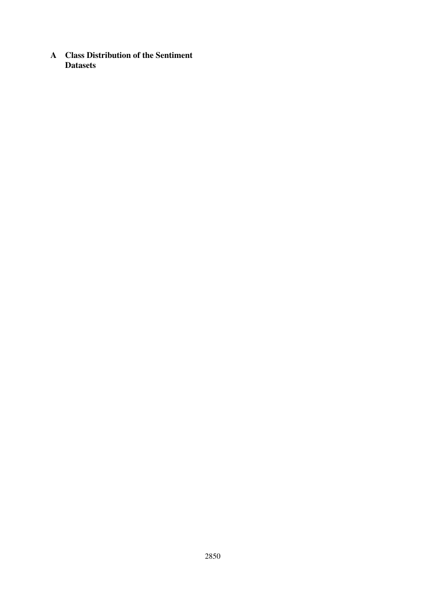<span id="page-12-0"></span>A Class Distribution of the Sentiment **Datasets**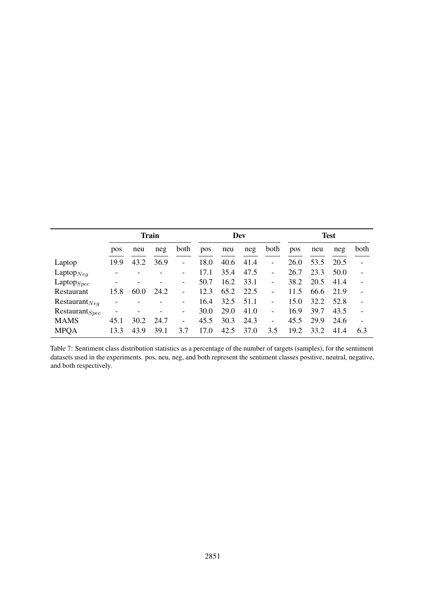<span id="page-13-0"></span>

|                     | <b>Train</b> |      |      |                          |      |      | Dev  |                              | <b>Test</b> |      |      |                          |
|---------------------|--------------|------|------|--------------------------|------|------|------|------------------------------|-------------|------|------|--------------------------|
|                     | pos          | neu  | neg  | both                     | pos  | neu  | neg  | both                         | pos         | neu  | neg  | both                     |
| Laptop              | 19.9         | 43.2 | 36.9 | -                        | 18.0 | 40.6 | 41.4 | $\qquad \qquad \blacksquare$ | 26.0        | 53.5 | 20.5 |                          |
| Laptop $_{Neq}$     | ۰            |      |      |                          | 17.1 | 35.4 | 47.5 | $\qquad \qquad \blacksquare$ | 26.7        | 23.3 | 50.0 | $\overline{\phantom{a}}$ |
| $L$ aptop $_{Spec}$ | -            |      |      | -                        | 50.7 | 16.2 | 33.1 | $\qquad \qquad \blacksquare$ | 38.2        | 20.5 | 41.4 |                          |
| Restaurant          | 15.8         | 60.0 | 24.2 | $\overline{\phantom{0}}$ | 12.3 | 65.2 | 22.5 | $\qquad \qquad \blacksquare$ | 11.5        | 66.6 | 21.9 |                          |
| Restaurant $_{Neq}$ |              |      |      | $\overline{\phantom{0}}$ | 16.4 | 32.5 | 51.1 | ۳                            | 15.0        | 32.2 | 52.8 |                          |
| $Restaurant_{Spec}$ |              |      |      | $\overline{\phantom{a}}$ | 30.0 | 29.0 | 41.0 | $\overline{\phantom{0}}$     | 16.9        | 39.7 | 43.5 |                          |
| <b>MAMS</b>         | 45.1         | 30.2 | 24.7 | -                        | 45.5 | 30.3 | 24.3 | $\qquad \qquad \blacksquare$ | 45.5        | 29.9 | 24.6 |                          |
| <b>MPOA</b>         | 13.3         | 43.9 | 39.1 | 3.7                      | 17.0 | 42.5 | 37.0 | 3.5                          | 19.2        | 33.2 | 41.4 | 6.3                      |

Table 7: Sentiment class distribution statistics as a percentage of the number of targets (samples), for the sentiment datasets used in the experiments. pos, neu, neg, and both represent the sentiment classes positive, neutral, negative, and both respectively.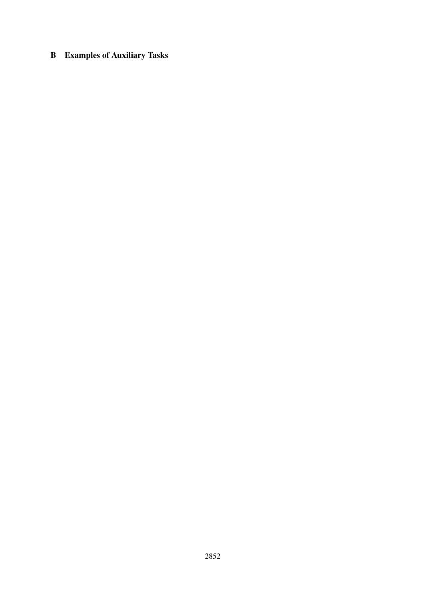# <span id="page-14-0"></span>B Examples of Auxiliary Tasks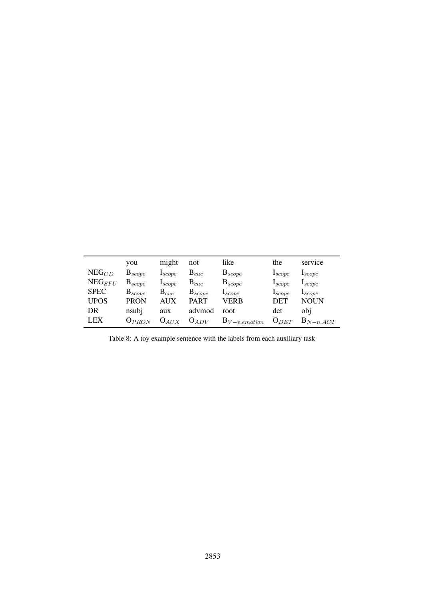|             | you         | might                | not         | like                 | the                  | service              |
|-------------|-------------|----------------------|-------------|----------------------|----------------------|----------------------|
| $NEG_{CD}$  | $B_{scope}$ | $\mathbf{I}_{scope}$ | $B_{cue}$   | $B_{scope}$          | $\mathbf{1}_{scope}$ | $\mathbf{I}_{scope}$ |
| $NEG_{SFU}$ | $B_{scope}$ | $\mathbf{1}_{scope}$ | $B_{cue}$   | $B_{scope}$          | $\mathbf{I}_{scope}$ | $\mathbf{I}_{scope}$ |
| <b>SPEC</b> | $B_{scope}$ | $\mathrm{B}_{cue}$   | $B_{scope}$ | $\mathbf{I}_{scope}$ | $\mathbf{I}_{scope}$ | $I_{scope}$          |
| <b>UPOS</b> | <b>PRON</b> | <b>AUX</b>           | <b>PART</b> | VERB                 | <b>DET</b>           | <b>NOUN</b>          |
| DR          | nsubj       | aux                  | advmod      | root                 | det                  | obi                  |
| <b>LEX</b>  | $O_{PRON}$  | $O_{AUX}$            | $O_{ADV}$   | $B_{V-v. emotion}$   | $O_{DEF}$            | $B_{N-n.ACT}$        |

Table 8: A toy example sentence with the labels from each auxiliary task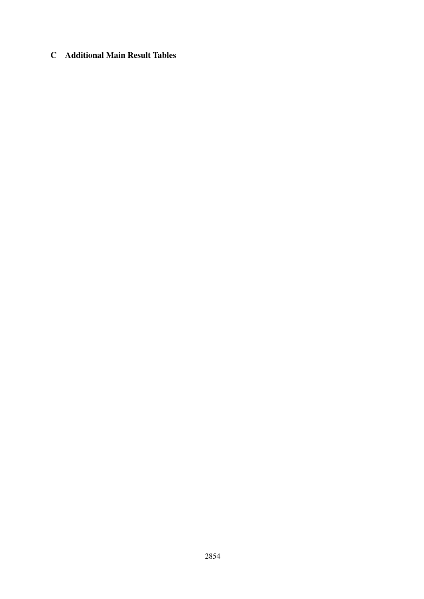## <span id="page-16-0"></span>C Additional Main Result Tables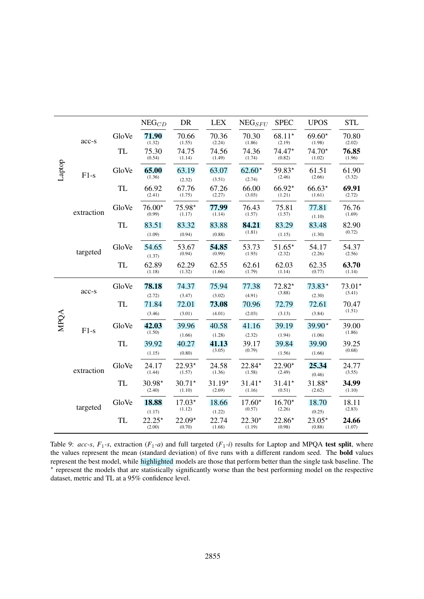<span id="page-17-0"></span>

|        |            |           | $NEG_{CD}$         | DR                 | <b>LEX</b>         | $NEG_{SFU}$        | <b>SPEC</b>        | <b>UPOS</b>        | <b>STL</b>         |
|--------|------------|-----------|--------------------|--------------------|--------------------|--------------------|--------------------|--------------------|--------------------|
|        | acc-s      | GloVe     | 71.90<br>(1.32)    | 70.66<br>(1.55)    | 70.36<br>(2.24)    | 70.30<br>(1.86)    | $68.11*$<br>(2.19) | $69.60*$<br>(1.98) | 70.80<br>(2.02)    |
|        |            | <b>TL</b> | 75.30<br>(0.54)    | 74.75<br>(1.14)    | 74.56<br>(1.49)    | 74.36<br>(1.74)    | $74.47*$<br>(0.82) | $74.70*$<br>(1.02) | 76.85<br>(1.96)    |
| Laptop | $F1-s$     | GloVe     | 65.00<br>(1.36)    | 63.19<br>(2.32)    | 63.07<br>(3.51)    | $62.60*$<br>(2.74) | 59.83*<br>(2.46)   | 61.51<br>(2.66)    | 61.90<br>(3.32)    |
|        |            | TL        | 66.92<br>(2.41)    | 67.76<br>(1.75)    | 67.26<br>(2.27)    | 66.00<br>(3.03)    | $66.92*$<br>(1.21) | $66.63*$<br>(1.61) | 69.91<br>(2.72)    |
|        | extraction | GloVe     | $76.00*$<br>(0.99) | $75.98*$<br>(1.17) | 77.99<br>(1.14)    | 76.43<br>(1.57)    | 75.81<br>(1.57)    | 77.81<br>(1.10)    | 76.76<br>(1.69)    |
|        |            | <b>TL</b> | 83.51<br>(1.09)    | 83.32<br>(0.94)    | 83.88<br>(0.88)    | 84.21<br>(1.81)    | 83.29<br>(1.15)    | 83.48<br>(1.30)    | 82.90<br>(0.72)    |
|        | targeted   | GloVe     | 54.65<br>(1.37)    | 53.67<br>(0.94)    | 54.85<br>(0.99)    | 53.73<br>(1.93)    | $51.65*$<br>(2.32) | 54.17<br>(2.26)    | 54.37<br>(2.56)    |
|        |            | <b>TL</b> | 62.89<br>(1.18)    | 62.29<br>(1.32)    | 62.55<br>(1.66)    | 62.61<br>(1.79)    | 62.03<br>(1.14)    | 62.35<br>(0.77)    | 63.70<br>(1.14)    |
|        | acc-s      | GloVe     | 78.18<br>(2.72)    | 74.37<br>(3.47)    | 75.94<br>(3.02)    | 77.38<br>(4.91)    | $72.82*$<br>(3.88) | $73.83*$<br>(2.30) | $73.01*$<br>(3.41) |
|        |            | <b>TL</b> | 71.84<br>(3.46)    | 72.01<br>(3.01)    | 73.08<br>(4.01)    | 70.96<br>(2.03)    | 72.79<br>(3.13)    | 72.61<br>(3.84)    | 70.47<br>(1.51)    |
| MPQA   | $F1-s$     | GloVe     | 42.03<br>(1.50)    | 39.96<br>(1.66)    | 40.58<br>(1.28)    | 41.16<br>(2.32)    | 39.19<br>(1.94)    | $39.90*$<br>(1.06) | 39.00<br>(1.86)    |
|        |            | <b>TL</b> | 39.92<br>(1.15)    | 40.27<br>(0.80)    | 41.13<br>(3.05)    | 39.17<br>(0.79)    | 39.84<br>(1.56)    | 39.90<br>(1.66)    | 39.25<br>(0.68)    |
|        | extraction | GloVe     | 24.17<br>(1.44)    | $22.93*$<br>(1.57) | 24.58<br>(1.36)    | 22.84*<br>(1.58)   | 22.90*<br>(2.49)   | 25.34<br>(0.46)    | 24.77<br>(3.55)    |
|        |            | TL        | 30.98*<br>(2.40)   | $30.71*$<br>(1.10) | $31.19*$<br>(2.69) | $31.41*$<br>(1.16) | $31.41*$<br>(0.51) | $31.88*$<br>(2.62) | 34.99<br>(1.10)    |
|        | targeted   | GloVe     | 18.88<br>(1.17)    | $17.03*$<br>(1.12) | 18.66<br>(1.22)    | $17.60*$<br>(0.57) | $16.70*$<br>(2.26) | 18.70<br>(0.25)    | 18.11<br>(2.83)    |
|        |            | <b>TL</b> | $22.25*$<br>(2.00) | $22.09*$<br>(0.70) | 22.74<br>(1.68)    | $22.30*$<br>(1.19) | $22.86*$<br>(0.98) | $23.05*$<br>(0.88) | 24.66<br>(1.07)    |

Table 9:  $acc-s$ ,  $F_1-s$ , extraction  $(F_1-a)$  and full targeted  $(F_1-i)$  results for Laptop and MPQA test split, where the values represent the mean (standard deviation) of five runs with a different random seed. The bold values represent the best model, while highlighted models are those that perform better than the single task baseline. The ? represent the models that are statistically significantly worse than the best performing model on the respective dataset, metric and TL at a 95% confidence level.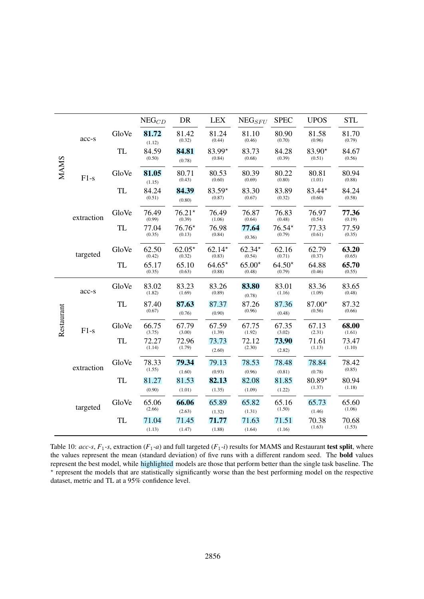<span id="page-18-0"></span>

|             |            |           | $\mathrm{NEG}_{CD}$ | DR                 | <b>LEX</b>         | $NEG_{SFU}$        | <b>SPEC</b>        | <b>UPOS</b>        | <b>STL</b>      |
|-------------|------------|-----------|---------------------|--------------------|--------------------|--------------------|--------------------|--------------------|-----------------|
|             | acc-s      | GloVe     | 81.72<br>(1.12)     | 81.42<br>(0.32)    | 81.24<br>(0.44)    | 81.10<br>(0.46)    | 80.90<br>(0.70)    | 81.58<br>(0.96)    | 81.70<br>(0.79) |
|             |            | <b>TL</b> | 84.59<br>(0.50)     | 84.81<br>(0.78)    | 83.99*<br>(0.84)   | 83.73<br>(0.68)    | 84.28<br>(0.39)    | $83.90*$<br>(0.51) | 84.67<br>(0.56) |
| <b>MAMS</b> | $F1-s$     | GloVe     | 81.05<br>(1.15)     | 80.71<br>(0.43)    | 80.53<br>(0.60)    | 80.39<br>(0.69)    | 80.22<br>(0.80)    | 80.81<br>(1.01)    | 80.94<br>(0.88) |
|             |            | <b>TL</b> | 84.24<br>(0.51)     | 84.39<br>(0.80)    | $83.59*$<br>(0.87) | 83.30<br>(0.67)    | 83.89<br>(0.32)    | 83.44*<br>(0.60)   | 84.24<br>(0.58) |
|             | extraction | GloVe     | 76.49<br>(0.99)     | $76.21*$<br>(0.39) | 76.49<br>(1.06)    | 76.87<br>(0.64)    | 76.83<br>(0.48)    | 76.97<br>(0.54)    | 77.36<br>(0.19) |
|             |            | <b>TL</b> | 77.04<br>(0.35)     | $76.76*$<br>(0.13) | 76.98<br>(0.84)    | 77.64<br>(0.36)    | $76.54*$<br>(0.79) | 77.33<br>(0.61)    | 77.59<br>(0.35) |
|             | targeted   | GloVe     | 62.50<br>(0.42)     | $62.05*$<br>(0.32) | $62.14*$<br>(0.83) | $62.34*$<br>(0.54) | 62.16<br>(0.71)    | 62.79<br>(0.37)    | 63.20<br>(0.65) |
|             |            | <b>TL</b> | 65.17<br>(0.35)     | 65.10<br>(0.63)    | $64.65*$<br>(0.88) | $65.00*$<br>(0.48) | $64.50*$<br>(0.79) | 64.88<br>(0.46)    | 65.70<br>(0.55) |
|             | acc-s      | GloVe     | 83.02<br>(1.82)     | 83.23<br>(1.69)    | 83.26<br>(0.89)    | 83.80<br>(0.78)    | 83.01<br>(1.16)    | 83.36<br>(1.09)    | 83.65<br>(0.48) |
|             |            | <b>TL</b> | 87.40<br>(0.67)     | 87.63<br>(0.76)    | 87.37<br>(0.90)    | 87.26<br>(0.96)    | 87.36<br>(0.48)    | $87.00*$<br>(0.56) | 87.32<br>(0.66) |
| Restaurant  | $F1-s$     | GloVe     | 66.75<br>(3.75)     | 67.79<br>(3.00)    | 67.59<br>(1.39)    | 67.75<br>(1.92)    | 67.35<br>(3.02)    | 67.13<br>(2.31)    | 68.00<br>(1.61) |
|             |            | <b>TL</b> | 72.27<br>(1.14)     | 72.96<br>(1.79)    | 73.73<br>(2.60)    | 72.12<br>(2.30)    | 73.90<br>(2.82)    | 71.61<br>(1.13)    | 73.47<br>(1.10) |
|             | extraction | GloVe     | 78.33<br>(1.55)     | 79.34<br>(1.60)    | 79.13<br>(0.93)    | 78.53<br>(0.96)    | 78.48<br>(0.81)    | 78.84<br>(0.78)    | 78.42<br>(0.85) |
|             |            | <b>TL</b> | 81.27<br>(0.90)     | 81.53<br>(1.01)    | 82.13<br>(1.35)    | 82.08<br>(1.09)    | 81.85<br>(1.22)    | 80.89*<br>(1.37)   | 80.94<br>(1.18) |
|             | targeted   | GloVe     | 65.06<br>(2.66)     | 66.06<br>(2.63)    | 65.89<br>(1.32)    | 65.82<br>(1.31)    | 65.16<br>(1.50)    | 65.73<br>(1.46)    | 65.60<br>(1.06) |
|             |            | <b>TL</b> | 71.04<br>(1.13)     | 71.45<br>(1.47)    | 71.77<br>(1.88)    | 71.63<br>(1.64)    | 71.51<br>(1.16)    | 70.38<br>(1.63)    | 70.68<br>(1.53) |

Table 10:  $acc$ -s,  $F_1$ -s, extraction ( $F_1$ -a) and full targeted ( $F_1$ -i) results for MAMS and Restaurant test split, where the values represent the mean (standard deviation) of five runs with a different random seed. The bold values represent the best model, while highlighted models are those that perform better than the single task baseline. The \* represent the models that are statistically significantly worse than the best performing model on the respective dataset, metric and TL at a 95% confidence level.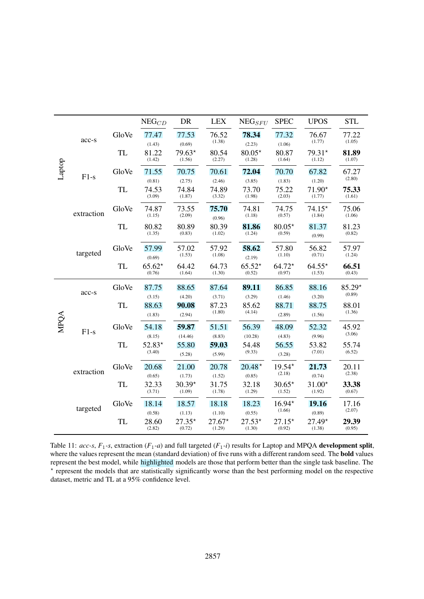<span id="page-19-0"></span>

|        |            |           | $NEG_{CD}$                | DR                        | <b>LEX</b>                | $NEG_{SFU}$               | <b>SPEC</b>               | <b>UPOS</b>                  | <b>STL</b>         |
|--------|------------|-----------|---------------------------|---------------------------|---------------------------|---------------------------|---------------------------|------------------------------|--------------------|
|        | acc-s      | GloVe     | 77.47<br>(1.43)           | 77.53<br>(0.69)           | 76.52<br>(1.38)           | 78.34<br>(2.23)           | 77.32<br>(1.06)           | 76.67<br>(1.77)              | 77.22<br>(1.05)    |
|        |            | <b>TL</b> | 81.22<br>(1.42)           | $79.63*$<br>(1.56)        | 80.54<br>(2.27)           | $80.05*$<br>(1.28)        | 80.87<br>(1.64)           | 79.31*<br>(1.12)             | 81.89<br>(1.07)    |
| Laptop | $F1-s$     | GloVe     | 71.55                     | 70.75                     | 70.61                     | 72.04                     | 70.70                     | 67.82                        | 67.27<br>(2.80)    |
|        |            | <b>TL</b> | (0.81)<br>74.53<br>(3.09) | (2.75)<br>74.84<br>(1.87) | (2.46)<br>74.89<br>(3.32) | (3.85)<br>73.70<br>(1.98) | (1.83)<br>75.22<br>(2.03) | (1.20)<br>$71.90*$<br>(1.77) | 75.33<br>(1.61)    |
|        | extraction | GloVe     | 74.87<br>(1.15)           | 73.55<br>(2.09)           | 75.70<br>(0.96)           | 74.81<br>(1.18)           | 74.75<br>(0.57)           | $74.15*$<br>(1.84)           | 75.06<br>(1.06)    |
|        |            | <b>TL</b> | 80.82<br>(1.35)           | 80.89<br>(0.83)           | 80.39<br>(1.02)           | 81.86<br>(1.24)           | $80.05*$<br>(0.59)        | 81.37<br>(0.99)              | 81.23<br>(0.82)    |
|        | targeted   | GloVe     | 57.99<br>(0.69)           | 57.02<br>(1.53)           | 57.92<br>(1.08)           | 58.62<br>(2.19)           | 57.80<br>(1.10)           | 56.82<br>(0.71)              | 57.97<br>(1.24)    |
|        |            | <b>TL</b> | $65.62*$<br>(0.76)        | 64.42<br>(1.64)           | 64.73<br>(1.30)           | $65.52*$<br>(0.52)        | $64.72*$<br>(0.97)        | $64.55*$<br>(1.53)           | 66.51<br>(0.43)    |
|        | acc-s      | GloVe     | 87.75                     | 88.65                     | 87.64                     | 89.11                     | 86.85                     | 88.16                        | $85.29*$<br>(0.89) |
|        |            | <b>TL</b> | (3.15)<br>88.63<br>(1.83) | (4.20)<br>90.08<br>(2.94) | (3.71)<br>87.23<br>(1.80) | (3.29)<br>85.62<br>(4.14) | (1.46)<br>88.71<br>(2.89) | (3.20)<br>88.75<br>(1.56)    | 88.01<br>(1.36)    |
| MPQA   | $F1-s$     | GloVe     | 54.18<br>(8.15)           | 59.87<br>(14.46)          | 51.51<br>(8.83)           | 56.39<br>(10.28)          | 48.09<br>(4.83)           | 52.32<br>(9.96)              | 45.92<br>(3.06)    |
|        |            | <b>TL</b> | 52.83*<br>(3.40)          | 55.80<br>(5.28)           | 59.03<br>(5.99)           | 54.48<br>(9.33)           | 56.55<br>(3.28)           | 53.82<br>(7.01)              | 55.74<br>(6.52)    |
|        | extraction | GloVe     | 20.68<br>(0.65)           | 21.00<br>(1.73)           | 20.78<br>(1.52)           | $20.48*$<br>(0.85)        | 19.54*<br>(2.18)          | 21.73<br>(0.74)              | 20.11<br>(2.38)    |
|        |            | TL        | 32.33<br>(3.71)           | $30.39*$<br>(1.09)        | 31.75<br>(1.78)           | 32.18<br>(1.29)           | $30.65*$<br>(1.52)        | $31.00*$<br>(1.92)           | 33.38<br>(0.67)    |
|        | targeted   | GloVe     | 18.14<br>(0.58)           | 18.57<br>(1.13)           | 18.18<br>(1.10)           | 18.23<br>(0.55)           | $16.94*$<br>(1.66)        | 19.16<br>(0.89)              | 17.16<br>(2.07)    |
|        |            | <b>TL</b> | 28.60<br>(2.82)           | $27.35*$<br>(0.72)        | $27.67*$<br>(1.29)        | $27.53*$<br>(1.30)        | $27.15*$<br>(0.92)        | $27.49*$<br>(1.38)           | 29.39<br>(0.95)    |

Table 11: *acc-s*, *F*1*-s*, extraction (*F*1*-a*) and full targeted (*F*1*-i*) results for Laptop and MPQA development split, where the values represent the mean (standard deviation) of five runs with a different random seed. The bold values represent the best model, while highlighted models are those that perform better than the single task baseline. The \* represent the models that are statistically significantly worse than the best performing model on the respective dataset, metric and TL at a 95% confidence level.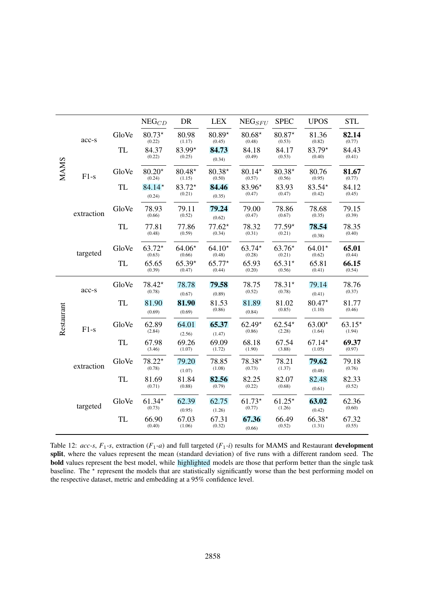<span id="page-20-0"></span>

|             |            |           | $NEG_{CD}$         | DR                 | <b>LEX</b>         | $NEG_{SFU}$        | <b>SPEC</b>        | <b>UPOS</b>        | <b>STL</b>         |
|-------------|------------|-----------|--------------------|--------------------|--------------------|--------------------|--------------------|--------------------|--------------------|
|             | acc-s      | GloVe     | $80.73*$<br>(0.22) | 80.98<br>(1.17)    | $80.89*$<br>(0.45) | $80.68*$<br>(0.48) | 80.87*<br>(0.53)   | 81.36<br>(0.82)    | 82.14<br>(0.77)    |
|             |            | <b>TL</b> | 84.37<br>(0.22)    | 83.99*<br>(0.25)   | 84.73<br>(0.34)    | 84.18<br>(0.49)    | 84.17<br>(0.53)    | $83.79*$<br>(0.40) | 84.43<br>(0.41)    |
| <b>MAMS</b> | $F1-s$     | GloVe     | $80.20*$<br>(0.24) | $80.48*$<br>(1.15) | $80.38*$<br>(0.50) | $80.14*$<br>(0.57) | $80.38*$<br>(0.56) | 80.76<br>(0.95)    | 81.67<br>(0.77)    |
|             |            | <b>TL</b> | $84.14*$<br>(0.24) | 83.72*<br>(0.21)   | 84.46<br>(0.35)    | 83.96*<br>(0.47)   | 83.93<br>(0.47)    | 83.54*<br>(0.42)   | 84.12<br>(0.45)    |
|             | extraction | GloVe     | 78.93<br>(0.66)    | 79.11<br>(0.52)    | 79.24<br>(0.62)    | 79.00<br>(0.47)    | 78.86<br>(0.67)    | 78.68<br>(0.35)    | 79.15<br>(0.39)    |
|             |            | TL        | 77.81<br>(0.48)    | 77.86<br>(0.59)    | $77.62*$<br>(0.34) | 78.32<br>(0.31)    | $77.59*$<br>(0.21) | 78.54<br>(0.38)    | 78.35<br>(0.40)    |
|             | targeted   | GloVe     | $63.72*$<br>(0.63) | $64.06*$<br>(0.66) | $64.10*$<br>(0.48) | $63.74*$<br>(0.28) | $63.76*$<br>(0.21) | $64.01*$<br>(0.62) | 65.01<br>(0.44)    |
|             |            | TL        | 65.65<br>(0.39)    | $65.39*$<br>(0.47) | $65.77*$<br>(0.44) | 65.93<br>(0.20)    | $65.31*$<br>(0.56) | 65.81<br>(0.41)    | 66.15<br>(0.54)    |
|             | acc-s      | GloVe     | 78.42*<br>(0.78)   | 78.78<br>(0.67)    | 79.58<br>(0.89)    | 78.75<br>(0.52)    | $78.31*$<br>(0.78) | 79.14<br>(0.41)    | 78.76<br>(0.37)    |
|             |            | <b>TL</b> | 81.90<br>(0.69)    | 81.90<br>(0.69)    | 81.53<br>(0.86)    | 81.89<br>(0.84)    | 81.02<br>(0.85)    | $80.47*$<br>(1.10) | 81.77<br>(0.46)    |
| Restaurant  | $F1-s$     | GloVe     | 62.89<br>(2.84)    | 64.01<br>(2.56)    | 65.37<br>(1.47)    | $62.49*$<br>(0.86) | $62.54*$<br>(2.28) | $63.00*$<br>(1.64) | $63.15*$<br>(1.94) |
|             |            | TL        | 67.98<br>(3.46)    | 69.26<br>(1.07)    | 69.09<br>(1.72)    | 68.18<br>(1.90)    | 67.54<br>(3.88)    | $67.14*$<br>(1.05) | 69.37<br>(0.97)    |
|             | extraction | GloVe     | $78.22*$<br>(0.78) | 79.20<br>(1.07)    | 78.85<br>(1.08)    | 78.38*<br>(0.73)   | 78.21<br>(1.37)    | 79.62<br>(0.48)    | 79.18<br>(0.76)    |
|             |            | <b>TL</b> | 81.69<br>(0.71)    | 81.84<br>(0.88)    | 82.56<br>(0.79)    | 82.25<br>(0.22)    | 82.07<br>(0.68)    | 82.48<br>(0.61)    | 82.33<br>(0.52)    |
|             | targeted   | GloVe     | $61.34*$<br>(0.73) | 62.39<br>(0.95)    | 62.75<br>(1.26)    | $61.73*$<br>(0.77) | $61.25*$<br>(1.26) | 63.02<br>(0.42)    | 62.36<br>(0.60)    |
|             |            | TL        | 66.90<br>(0.40)    | 67.03<br>(1.06)    | 67.31<br>(0.32)    | 67.36<br>(0.66)    | 66.49<br>(0.52)    | $66.38*$<br>(1.31) | 67.32<br>(0.55)    |

Table 12:  $acc-s$ ,  $F_1$ -s, extraction ( $F_1$ - $a$ ) and full targeted ( $F_1$ - $i$ ) results for MAMS and Restaurant **development** split, where the values represent the mean (standard deviation) of five runs with a different random seed. The bold values represent the best model, while highlighted models are those that perform better than the single task baseline. The  $*$  represent the models that are statistically significantly worse than the best performing model on the respective dataset, metric and embedding at a 95% confidence level.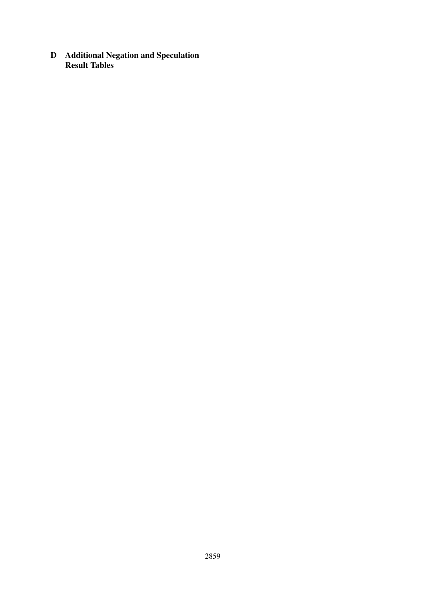<span id="page-21-0"></span>D Additional Negation and Speculation Result Tables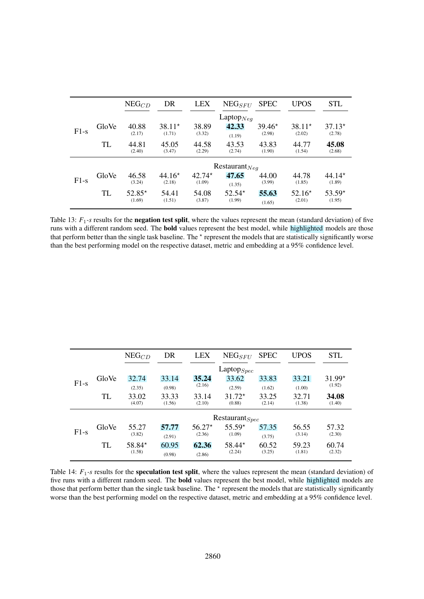|        |       | $NEG_{CD}$         | DR                 | <b>LEX</b>         | $NEG_{SFU}$              | <b>SPEC</b>     | <b>UPOS</b>        | STL                |
|--------|-------|--------------------|--------------------|--------------------|--------------------------|-----------------|--------------------|--------------------|
|        | GloVe | 40.88              | $38.11*$           | 38.89              | Laptop $_{Neq}$<br>42.33 | $39.46*$        | $38.11*$           | $37.13*$           |
| $F1-s$ | TL    | (2.17)<br>44.81    | (1.71)<br>45.05    | (3.32)<br>44.58    | (1.19)<br>43.53          | (2.98)<br>43.83 | (2.02)<br>44.77    | (2.78)<br>45.08    |
|        |       | (2.40)             | (3.47)             | (2.29)             | (2.74)                   | (1.90)          | (1.54)             | (2.68)             |
|        |       |                    |                    |                    | Restaurant $Neq$         |                 |                    |                    |
| $F1-s$ | GloVe | 46.58<br>(3.24)    | $44.16*$<br>(2.18) | $42.74*$<br>(1.09) | 47.65<br>(1.35)          | 44.00<br>(3.99) | 44.78<br>(1.85)    | $44.14*$<br>(1.89) |
|        | TL    | $52.85*$<br>(1.69) | 54.41<br>(1.51)    | 54.08<br>(3.87)    | $52.54*$<br>(1.99)       | 55.63<br>(1.65) | $52.16*$<br>(2.01) | $53.59*$<br>(1.95) |

Table 13:  $F_1$ -s results for the **negation test split**, where the values represent the mean (standard deviation) of five runs with a different random seed. The bold values represent the best model, while highlighted models are those that perform better than the single task baseline. The  $*$  represent the models that are statistically significantly worse than the best performing model on the respective dataset, metric and embedding at a 95% confidence level.

|        |       | $NEG_{CD}$       | DR     | <b>LEX</b> | $NEG_{SFU}$         | <b>SPEC</b> | <b>UPOS</b> | <b>STL</b> |  |  |
|--------|-------|------------------|--------|------------|---------------------|-------------|-------------|------------|--|--|
|        |       | Laptop $_{Spec}$ |        |            |                     |             |             |            |  |  |
|        | GloVe | 32.74            | 33.14  | 35.24      | 33.62               | 33.83       | 33.21       | $31.99*$   |  |  |
| $F1-S$ |       | (2.35)           | (0.98) | (2.16)     | (2.59)              | (1.62)      | (1.00)      | (1.92)     |  |  |
|        | TL    | 33.02            | 33.33  | 33.14      | $31.72*$            | 33.25       | 32.71       | 34.08      |  |  |
|        |       | (4.07)           | (1.56) | (2.10)     | (0.88)              | (2.14)      | (1.38)      | (1.40)     |  |  |
|        |       |                  |        |            | $Restaurant_{Spec}$ |             |             |            |  |  |
| $F1-S$ | GloVe | 55.27            | 57.77  | $56.27*$   | $55.59*$            | 57.35       | 56.55       | 57.32      |  |  |
|        |       | (3.82)           | (2.91) | (2.36)     | (1.09)              | (3.75)      | (3.14)      | (2.30)     |  |  |
|        | TL    | $58.84*$         | 60.95  | 62.36      | $58.44*$            | 60.52       | 59.23       | 60.74      |  |  |
|        |       | (1.58)           | (0.98) | (2.86)     | (2.24)              | (3.25)      | (1.81)      | (2.32)     |  |  |

Table 14:  $F_1$ -s results for the **speculation test split**, where the values represent the mean (standard deviation) of five runs with a different random seed. The bold values represent the best model, while highlighted models are those that perform better than the single task baseline. The  $*$  represent the models that are statistically significantly worse than the best performing model on the respective dataset, metric and embedding at a 95% confidence level.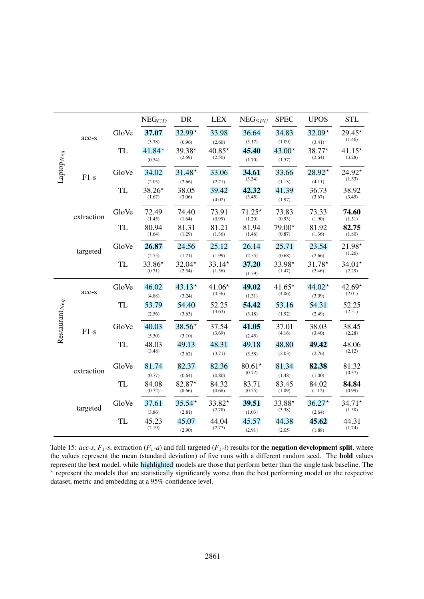|                       |            |           | $NEG_{CD}$         | DR                 | <b>LEX</b>         | $NEG_{SFU}$        | <b>SPEC</b>        | <b>UPOS</b>                | <b>STL</b>         |
|-----------------------|------------|-----------|--------------------|--------------------|--------------------|--------------------|--------------------|----------------------------|--------------------|
|                       | acc-s      | GloVe     | 37.07<br>(3.78)    | $32.99*$<br>(0.96) | 33.98<br>(2.60)    | 36.64<br>(3.17)    | 34.83<br>(1.09)    | $32.09*$<br>(3.41)         | $29.45*$<br>(1.46) |
|                       |            | <b>TL</b> | $41.84*$<br>(0.54) | 39.38*<br>(2.69)   | $40.85*$<br>(2.50) | 45.40<br>(1.70)    | $43.00*$<br>(1.57) | $38.77*$<br>(2.64)         | $41.15*$<br>(3.28) |
| $\text{Laptop}_{Neg}$ | $F1-s$     | GloVe     | 34.02<br>(2.05)    | $31.48*$<br>(2.66) | 33.06<br>(2.21)    | 34.61<br>(3.34)    | 33.66<br>(1.13)    | $28.92*$<br>(4.11)         | $24.92*$<br>(1.33) |
|                       |            | <b>TL</b> | $38.26*$<br>(1.67) | 38.05<br>(3.06)    | 39.42<br>(4.02)    | 42.32<br>(3.45)    | 41.39<br>(1.97)    | 36.73<br>(3.67)            | 38.92<br>(3.45)    |
|                       | extraction | GloVe     | 72.49<br>(1.45)    | 74.40<br>(1.64)    | 73.91<br>(0.99)    | $71.25*$<br>(1.20) | 73.83<br>(0.93)    | 73.33<br>(1.90)            | 74.60<br>(1.51)    |
|                       |            | <b>TL</b> | 80.94<br>(1.64)    | 81.31<br>(1.29)    | 81.21<br>(1.36)    | 81.94<br>(1.46)    | 79.00*<br>(0.87)   | 81.92<br>(1.36)            | 82.75<br>(1.80)    |
|                       | targeted   | GloVe     | 26.87<br>(2.75)    | 24.56<br>(1.21)    | 25.12<br>(1.99)    | 26.14<br>(2.55)    | 25.71<br>(0.68)    | 23.54<br>(2.66)            | 21.98*<br>(1.26)   |
|                       |            | <b>TL</b> | 33.86*<br>(0.71)   | $32.04*$<br>(2.54) | 33.14*<br>(1.56)   | 37.20<br>(1.59)    | 33.98*<br>(1.47)   | $31.78*$<br>(2.46)         | $34.01*$<br>(2.29) |
|                       | acc-s      | GloVe     | 46.02<br>(4.88)    | $43.13*$<br>(3.24) | $41.06*$<br>(3.36) | 49.02<br>(1.31)    | $41.65*$<br>(4.06) | 44.02 $^{\star}$<br>(3.09) | $42.69*$<br>(2.01) |
| Restaurant $_{Neg}$   |            | <b>TL</b> | 53.79<br>(2.56)    | 54.40<br>(3.63)    | 52.25<br>(3.63)    | 54.42<br>(3.18)    | 53.16<br>(1.92)    | 54.31<br>(2.49)            | 52.25<br>(2.51)    |
|                       | $F1-s$     | GloVe     | 40.03<br>(5.30)    | $38.56*$<br>(3.10) | 37.54<br>(3.69)    | 41.05<br>(2.45)    | 37.01<br>(4.16)    | 38.03<br>(3.40)            | 38.45<br>(2.28)    |
|                       |            | <b>TL</b> | 48.03<br>(3.48)    | 49.13<br>(2.62)    | 48.31<br>(3.71)    | 49.18<br>(3.58)    | 48.80<br>(2.03)    | 49.42<br>(2.76)            | 48.06<br>(2.12)    |
|                       | extraction | GloVe     | 81.74<br>(0.77)    | 82.37<br>(0.64)    | 82.36<br>(0.80)    | $80.61*$<br>(0.72) | 81.34<br>(1.48)    | 82.38<br>(1.00)            | 81.32<br>(0.37)    |
|                       |            | <b>TL</b> | 84.08<br>(0.72)    | 82.87*<br>(0.66)   | 84.32<br>(0.68)    | 83.71<br>(0.55)    | 83.45<br>(1.09)    | 84.02<br>(1.12)            | 84.84<br>(0.99)    |
|                       | targeted   | GloVe     | 37.61<br>(3.86)    | $35.54*$<br>(2.81) | 33.82*<br>(2.78)   | 39.51<br>(1.03)    | 33.88*<br>(3.38)   | $36.27*$<br>(2.64)         | $34.71*$<br>(1.58) |
|                       |            | <b>TL</b> | 45.23<br>(2.19)    | 45.07<br>(2.90)    | 44.04<br>(2.77)    | 45.57<br>(2.91)    | 44.38<br>(2.05)    | 45.62<br>(1.88)            | 44.31<br>(1.74)    |

Table 15:  $acc-s$ ,  $F_1$ -s, extraction  $(F_1-a)$  and full targeted  $(F_1-i)$  results for the **negation development split**, where the values represent the mean (standard deviation) of five runs with a different random seed. The bold values represent the best model, while highlighted models are those that perform better than the single task baseline. The ? represent the models that are statistically significantly worse than the best performing model on the respective dataset, metric and embedding at a 95% confidence level.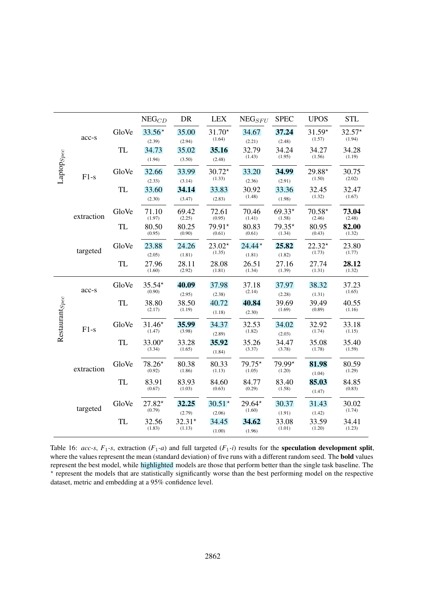|                            |            |           | $NEG_{CD}$         | DR                 | <b>LEX</b>         | $NEG_{SFU}$        | <b>SPEC</b>        | <b>UPOS</b>        | <b>STL</b>         |
|----------------------------|------------|-----------|--------------------|--------------------|--------------------|--------------------|--------------------|--------------------|--------------------|
|                            | acc-s      | GloVe     | $33.56*$<br>(2.39) | 35.00<br>(2.94)    | $31.70*$<br>(1.64) | 34.67<br>(2.21)    | 37.24<br>(2.48)    | $31.59*$<br>(1.57) | $32.57*$<br>(1.94) |
|                            |            | <b>TL</b> | 34.73<br>(1.94)    | 35.02<br>(3.50)    | 35.16<br>(2.48)    | 32.79<br>(1.43)    | 34.24<br>(1.95)    | 34.27<br>(1.56)    | 34.28<br>(1.19)    |
| $Laptop_{Spec}$            | $F1-s$     | GloVe     | 32.66<br>(2.33)    | 33.99<br>(3.14)    | $30.72*$<br>(1.33) | 33.20<br>(2.36)    | 34.99<br>(2.91)    | 29.88*<br>(1.50)   | 30.75<br>(2.02)    |
|                            |            | <b>TL</b> | 33.60<br>(2.30)    | 34.14<br>(3.47)    | 33.83<br>(2.83)    | 30.92<br>(1.48)    | 33.36<br>(1.98)    | 32.45<br>(1.32)    | 32.47<br>(1.67)    |
|                            | extraction | GloVe     | 71.10<br>(1.97)    | 69.42<br>(2.25)    | 72.61<br>(0.95)    | 70.46<br>(1.41)    | $69.33*$<br>(1.58) | $70.58*$<br>(2.46) | 73.04<br>(2.48)    |
|                            |            | <b>TL</b> | 80.50<br>(0.95)    | 80.25<br>(0.90)    | 79.91*<br>(0.61)   | 80.83<br>(0.61)    | 79.35*<br>(1.34)   | 80.95<br>(0.43)    | 82.00<br>(1.32)    |
|                            | targeted   | GloVe     | 23.88<br>(2.05)    | 24.26<br>(1.81)    | $23.02*$<br>(1.35) | $24.44*$<br>(1.81) | 25.82<br>(1.82)    | $22.32*$<br>(1.73) | 23.80<br>(1.77)    |
|                            |            | TL        | 27.96<br>(1.60)    | 28.11<br>(2.92)    | 28.08<br>(1.81)    | 26.51<br>(1.34)    | 27.16<br>(1.39)    | 27.74<br>(1.31)    | 28.12<br>(1.32)    |
|                            | acc-s      | GloVe     | $35.54*$<br>(0.90) | 40.09<br>(2.95)    | 37.98<br>(2.38)    | 37.18<br>(2.14)    | 37.97<br>(2.28)    | 38.32<br>(1.31)    | 37.23<br>(1.65)    |
| Restaurant <sub>Spec</sub> |            | TL        | 38.80<br>(2.17)    | 38.50<br>(1.19)    | 40.72<br>(1.18)    | 40.84<br>(2.30)    | 39.69<br>(1.69)    | 39.49<br>(0.89)    | 40.55<br>(1.16)    |
|                            | $F1-s$     | GloVe     | $31.46*$<br>(1.47) | 35.99<br>(3.98)    | 34.37<br>(2.89)    | 32.53<br>(1.82)    | 34.02<br>(2.03)    | 32.92<br>(1.74)    | 33.18<br>(1.15)    |
|                            |            | <b>TL</b> | 33.00*<br>(3.34)   | 33.28<br>(1.65)    | 35.92<br>(1.84)    | 35.26<br>(3.37)    | 34.47<br>(3.78)    | 35.08<br>(1.78)    | 35.40<br>(1.59)    |
|                            | extraction | GloVe     | 78.26*<br>(0.92)   | 80.38<br>(1.86)    | 80.33<br>(1.13)    | 79.75*<br>(1.05)   | 79.99*<br>(1.20)   | 81.98<br>(1.04)    | 80.59<br>(1.29)    |
|                            |            | <b>TL</b> | 83.91<br>(0.67)    | 83.93<br>(1.03)    | 84.60<br>(0.63)    | 84.77<br>(0.29)    | 83.40<br>(1.58)    | 85.03<br>(1.47)    | 84.85<br>(0.83)    |
|                            | targeted   | GloVe     | 27.82*<br>(0.79)   | 32.25<br>(2.79)    | $30.51*$<br>(2.06) | $29.64*$<br>(1.60) | 30.37<br>(1.91)    | 31.43<br>(1.42)    | 30.02<br>(1.74)    |
|                            |            | TL        | 32.56<br>(1.83)    | $32.31*$<br>(1.13) | 34.45<br>(1.00)    | 34.62<br>(1.96)    | 33.08<br>(1.01)    | 33.59<br>(1.20)    | 34.41<br>(1.23)    |

Table 16: *acc-s*,  $F_1$ -s, extraction ( $F_1$ -*a*) and full targeted ( $F_1$ -*i*) results for the **speculation development split**, where the values represent the mean (standard deviation) of five runs with a different random seed. The **bold** values represent the best model, while highlighted models are those that perform better than the single task baseline. The ? represent the models that are statistically significantly worse than the best performing model on the respective dataset, metric and embedding at a 95% confidence level.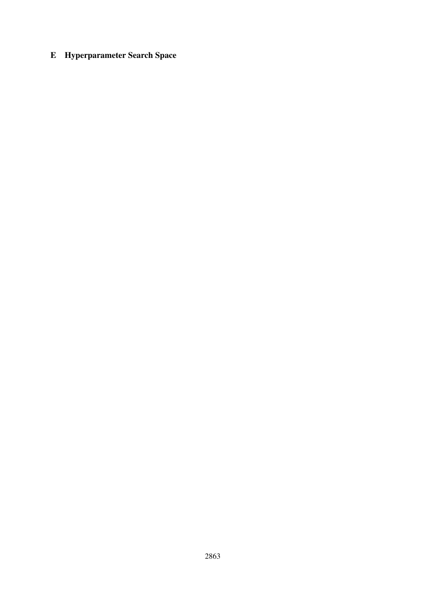# <span id="page-25-0"></span>E Hyperparameter Search Space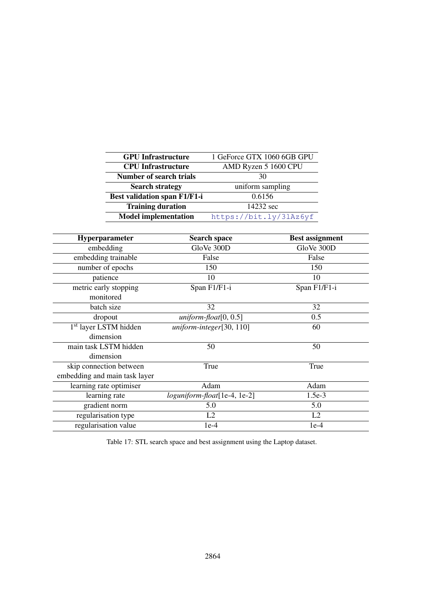<span id="page-26-0"></span>

| <b>GPU</b> Infrastructure           | 1 GeForce GTX 1060 6GB GPU |
|-------------------------------------|----------------------------|
| <b>CPU</b> Infrastructure           | AMD Ryzen 5 1600 CPU       |
| Number of search trials             | 30                         |
| <b>Search strategy</b>              | uniform sampling           |
| <b>Best validation span F1/F1-i</b> | 0.6156                     |
| <b>Training duration</b>            | 14232 sec                  |
| <b>Model implementation</b>         | https://bit.ly/3lAz6yf     |
|                                     |                            |

| Hyperparameter                    | <b>Search space</b>            | <b>Best assignment</b> |
|-----------------------------------|--------------------------------|------------------------|
| embedding                         | GloVe 300D                     | GloVe 300D             |
| embedding trainable               | False                          | False                  |
| number of epochs                  | 150                            | 150                    |
| patience                          | 10                             | 10                     |
| metric early stopping             | Span F1/F1-i                   | Span F1/F1-i           |
| monitored                         |                                |                        |
| batch size                        | 32                             | 32                     |
| dropout                           | $uniform\text{-}float[0, 0.5]$ | 0.5                    |
| 1 <sup>st</sup> layer LSTM hidden | $uniform\t{-}integer[30, 110]$ | 60                     |
| dimension                         |                                |                        |
| main task LSTM hidden             | 50                             | 50                     |
| dimension                         |                                |                        |
| skip connection between           | True                           | True                   |
| embedding and main task layer     |                                |                        |
| learning rate optimiser           | Adam                           | Adam                   |
| learning rate                     | loguniform-float[1e-4, 1e-2]   | $1.5e-3$               |
| gradient norm                     | 5.0                            | 5.0                    |
| regularisation type               | L2                             | L2                     |
| regularisation value              | $1e-4$                         | $1e-4$                 |

Table 17: STL search space and best assignment using the Laptop dataset.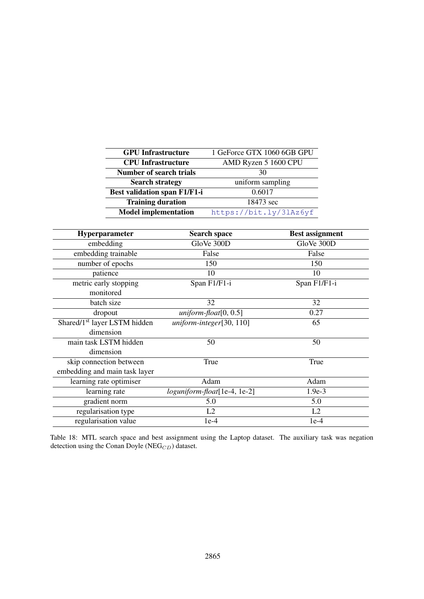<span id="page-27-0"></span>

| 1 GeForce GTX 1060 6GB GPU |
|----------------------------|
| AMD Ryzen 5 1600 CPU       |
| 30                         |
| uniform sampling           |
| 0.6017                     |
| 18473 sec                  |
| https://bit.ly/3lAz6yf     |
|                            |

| Hyperparameter                           | <b>Search space</b>            | <b>Best assignment</b> |
|------------------------------------------|--------------------------------|------------------------|
| embedding                                | GloVe 300D                     | GloVe 300D             |
| embedding trainable                      | False                          | False                  |
| number of epochs                         | 150                            | 150                    |
| patience                                 | 10                             | 10                     |
| metric early stopping                    | Span F1/F1-i                   | Span F1/F1-i           |
| monitored                                |                                |                        |
| batch size                               | 32                             | 32                     |
| dropout                                  | $uniform$ -float[0, 0.5]       | 0.27                   |
| Shared/1 <sup>st</sup> layer LSTM hidden | $uniform\t{-}integer[30, 110]$ | 65                     |
| dimension                                |                                |                        |
| main task LSTM hidden                    | 50                             | 50                     |
| dimension                                |                                |                        |
| skip connection between                  | True                           | True                   |
| embedding and main task layer            |                                |                        |
| learning rate optimiser                  | Adam                           | Adam                   |
| learning rate                            | loguniform-float[1e-4, 1e-2]   | $1.9e-3$               |
| gradient norm                            | 5.0                            | 5.0                    |
| regularisation type                      | L2                             | L2                     |
| regularisation value                     | $1e-4$                         | $1e-4$                 |

Table 18: MTL search space and best assignment using the Laptop dataset. The auxiliary task was negation detection using the Conan Doyle (NEG $_{CD}$ ) dataset.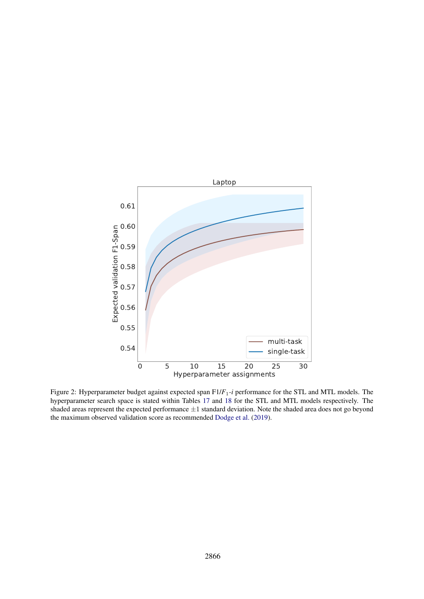<span id="page-28-0"></span>

0 5 10 15 20 25 30<br>
Hyperparameter assignments<br>
get against expected span  $Fl/F_1$ -*i* performance for the STL and<br>
s stated within Tables 17 and 18 for the STL and MTL mode<br>
cited performance  $\pm 1$  standard deviation. Not Figure 2: Hyperparameter budget against expected span F1/*F*1*-i* performance for the STL and MTL models. The hyperparameter search space is stated within Tables [17](#page-26-0) and [18](#page-27-0) for the STL and MTL models respectively. The shaded areas represent the expected performance  $\pm 1$  standard deviation. Note the shaded area does not go beyond the maximum observed validation score as recommended [Dodge et al.](#page-8-15) [\(2019\)](#page-8-15).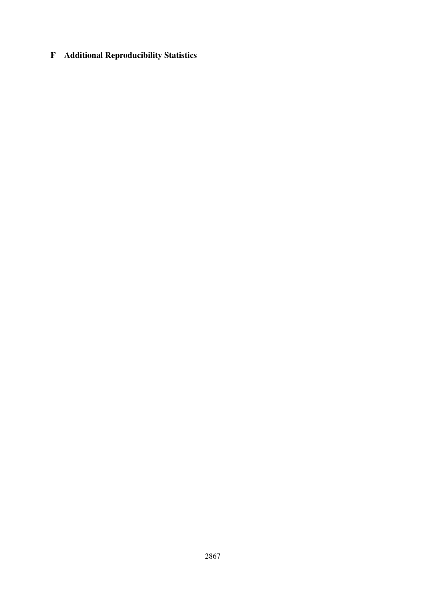# <span id="page-29-0"></span>F Additional Reproducibility Statistics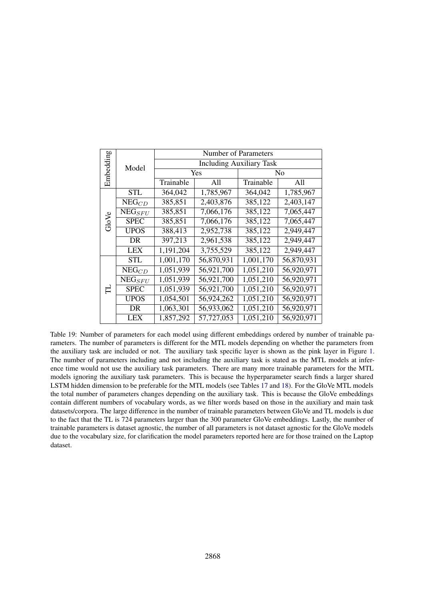<span id="page-30-0"></span>

|           |                                  | <b>Number of Parameters</b>     |            |           |            |  |  |  |
|-----------|----------------------------------|---------------------------------|------------|-----------|------------|--|--|--|
| Embedding | Model                            | <b>Including Auxiliary Task</b> |            |           |            |  |  |  |
|           |                                  |                                 | Yes        | No        |            |  |  |  |
|           |                                  | Trainable                       | A11        | Trainable | A11        |  |  |  |
|           | <b>STL</b>                       | 364,042                         | 1,785,967  | 364,042   | 1,785,967  |  |  |  |
|           | ${\rm \overline{N}\rm{EG}}_{CD}$ | 385,851                         | 2,403,876  | 385,122   | 2,403,147  |  |  |  |
|           | $NEG_{SFU}$                      | 385,851                         | 7,066,176  | 385,122   | 7,065,447  |  |  |  |
| GloVe     | <b>SPEC</b>                      | 385,851                         | 7,066,176  | 385,122   | 7,065,447  |  |  |  |
|           | <b>UPOS</b>                      | 388,413                         | 2,952,738  | 385,122   | 2,949,447  |  |  |  |
|           | DR                               | 397,213                         | 2,961,538  | 385,122   | 2,949,447  |  |  |  |
|           | <b>LEX</b>                       | 1,191,204                       | 3,755,529  | 385,122   | 2,949,447  |  |  |  |
|           | <b>STL</b>                       | 1,001,170                       | 56,870,931 | 1,001,170 | 56,870,931 |  |  |  |
|           | $NEG_{CD}$                       | 1,051,939                       | 56,921,700 | 1,051,210 | 56,920,971 |  |  |  |
|           | $\overline{\text{NEG}_{SFU}}$    | 1,051,939                       | 56,921,700 | 1,051,210 | 56,920,971 |  |  |  |
| ᆸ         | <b>SPEC</b>                      | 1,051,939                       | 56,921,700 | 1,051,210 | 56,920,971 |  |  |  |
|           | <b>UPOS</b>                      | 1,054,501                       | 56,924,262 | 1,051,210 | 56,920,971 |  |  |  |
|           | DR                               | 1,063,301                       | 56,933,062 | 1,051,210 | 56,920,971 |  |  |  |
|           | LEX                              | 1,857,292                       | 57,727,053 | 1,051,210 | 56,920,971 |  |  |  |

Table 19: Number of parameters for each model using different embeddings ordered by number of trainable parameters. The number of parameters is different for the MTL models depending on whether the parameters from the auxiliary task are included or not. The auxiliary task specific layer is shown as the pink layer in Figure [1.](#page-3-1) The number of parameters including and not including the auxiliary task is stated as the MTL models at inference time would not use the auxiliary task parameters. There are many more trainable parameters for the MTL models ignoring the auxiliary task parameters. This is because the hyperparameter search finds a larger shared LSTM hidden dimension to be preferable for the MTL models (see Tables [17](#page-26-0) and [18\)](#page-27-0). For the GloVe MTL models the total number of parameters changes depending on the auxiliary task. This is because the GloVe embeddings contain different numbers of vocabulary words, as we filter words based on those in the auxiliary and main task datasets/corpora. The large difference in the number of trainable parameters between GloVe and TL models is due to the fact that the TL is 724 parameters larger than the 300 parameter GloVe embeddings. Lastly, the number of trainable parameters is dataset agnostic, the number of all parameters is not dataset agnostic for the GloVe models due to the vocabulary size, for clarification the model parameters reported here are for those trained on the Laptop dataset.